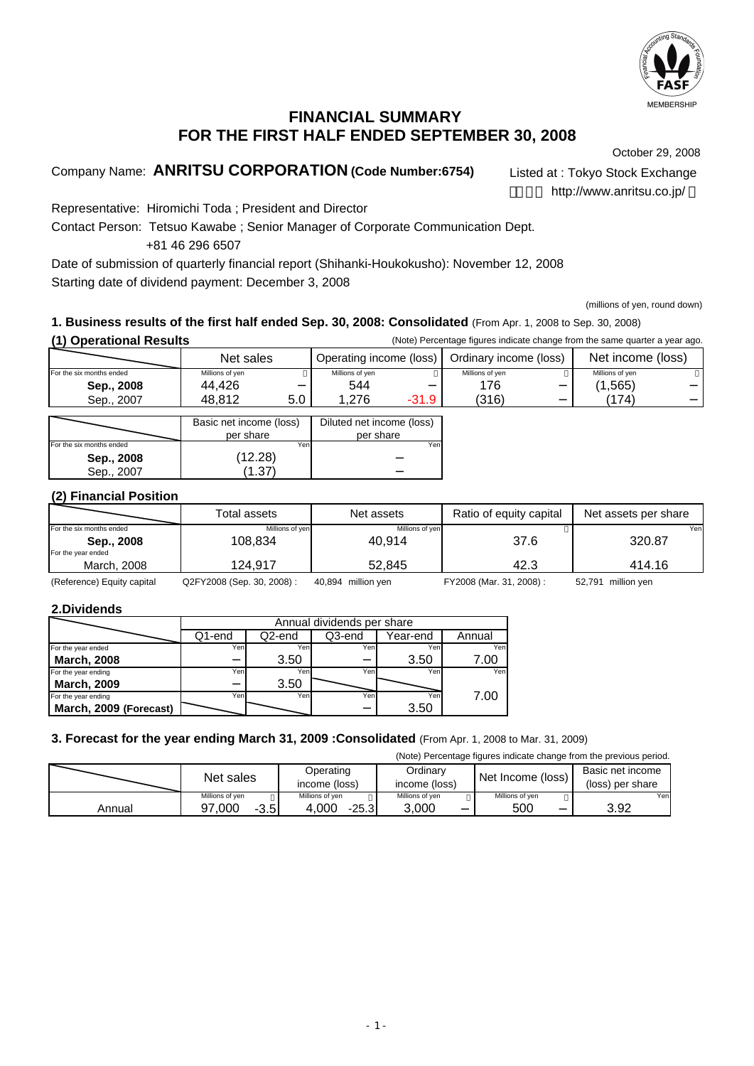

## **FINANCIAL SUMMARY FOR THE FIRST HALF ENDED SEPTEMBER 30, 2008**

October 29, 2008

Company Name: **ANRITSU CORPORATION (Code Number:6754)** Listed at : Tokyo Stock Exchange

http://www.anritsu.co.jp/

Representative: Hiromichi Toda ; President and Director

Contact Person: Tetsuo Kawabe ; Senior Manager of Corporate Communication Dept. +81 46 296 6507

Date of submission of quarterly financial report (Shihanki-Houkokusho): November 12, 2008 Starting date of dividend payment: December 3, 2008

(millions of yen, round down)

#### **1. Business results of the first half ended Sep. 30, 2008: Consolidated** (From Apr. 1, 2008 to Sep. 30, 2008) **(1) Operational Results** (Note) Percentage figures indicate change from the same quarter a year ago.

|           | <b>ODETATIONAL RESUITS</b> |                         | (ivole) Percentage liquies indicate change from the same quarter a year ago. |                        |                   |                 |                 |
|-----------|----------------------------|-------------------------|------------------------------------------------------------------------------|------------------------|-------------------|-----------------|-----------------|
| Net sales |                            | Operating income (loss) |                                                                              | Ordinary income (loss) | Net income (loss) |                 |                 |
|           | For the six months ended   | Millions of ven         |                                                                              | Millions of ven        |                   | Millions of ven | Millions of ven |
|           | Sep., 2008                 | 44.426                  |                                                                              | 544                    |                   | 176             | (1, 565)        |
|           | Sep., 2007                 | 48,812                  | 5.0                                                                          | ,276                   | -31.9             | (316)           | (174)           |

|                          | Basic net income (loss) | Diluted net income (loss) |
|--------------------------|-------------------------|---------------------------|
|                          | per share               | per share                 |
| For the six months ended | Yen                     | Yen                       |
| Sep., 2008               | (12.28)                 |                           |
| Sep., 2007               |                         |                           |

#### **(2) Financial Position**

|                          | Total assets          | Net assets      | Ratio of equity capital | Net assets per share |
|--------------------------|-----------------------|-----------------|-------------------------|----------------------|
| For the six months ended | Millions of yen       | Millions of yen |                         | Yenl                 |
| Sep., 2008               | 108.834               | 40.914          | 37.6                    | 320.87               |
| For the year ended       |                       |                 |                         |                      |
| March, 2008              | 124.917               | 52.845          | 42.3                    | 414.16               |
| $\sim$ $\sim$            | - - - - - - - - - - - |                 | _________               |                      |

(Reference) Equity capital Q2FY2008 (Sep. 30, 2008) : 40,894 million yen FY2008 (Mar. 31, 2008) : 52,791 million yen

#### **2.Dividends**

|                        | Annual dividends per share |                                        |      |      |      |  |  |  |  |
|------------------------|----------------------------|----------------------------------------|------|------|------|--|--|--|--|
|                        | Q1-end                     | Q2-end<br>Q3-end<br>Year-end<br>Annual |      |      |      |  |  |  |  |
| For the year ended     | Yen.                       | Yen                                    | Yeni | Yen  | Yen  |  |  |  |  |
| <b>March, 2008</b>     |                            | 3.50                                   |      | 3.50 | 7.00 |  |  |  |  |
| For the year ending    | Yen                        | Yen                                    | Yen  | Yen  | Yen  |  |  |  |  |
| <b>March, 2009</b>     |                            | 3.50                                   |      |      |      |  |  |  |  |
| For the year ending    | Yen                        | Yen                                    | Yen  | Yen  | 7.00 |  |  |  |  |
| March, 2009 (Forecast) |                            |                                        |      | 3.50 |      |  |  |  |  |

#### **3. Forecast for the year ending March 31, 2009 :Consolidated** (From Apr. 1, 2008 to Mar. 31, 2009)

(Note) Percentage figures indicate change from the previous period.

|        | Net sales        |                  | Ordinary<br>income (loss) | Net Income (loss) | Basic net income<br>(loss) per share |
|--------|------------------|------------------|---------------------------|-------------------|--------------------------------------|
|        | Millions of ven  | Millions of yen  | Millions of ven           | Millions of yen   | Yenl                                 |
| Annual | 97.000<br>$-3.5$ | 4.000<br>$-25.3$ | 3.000                     | 500               | 3.92                                 |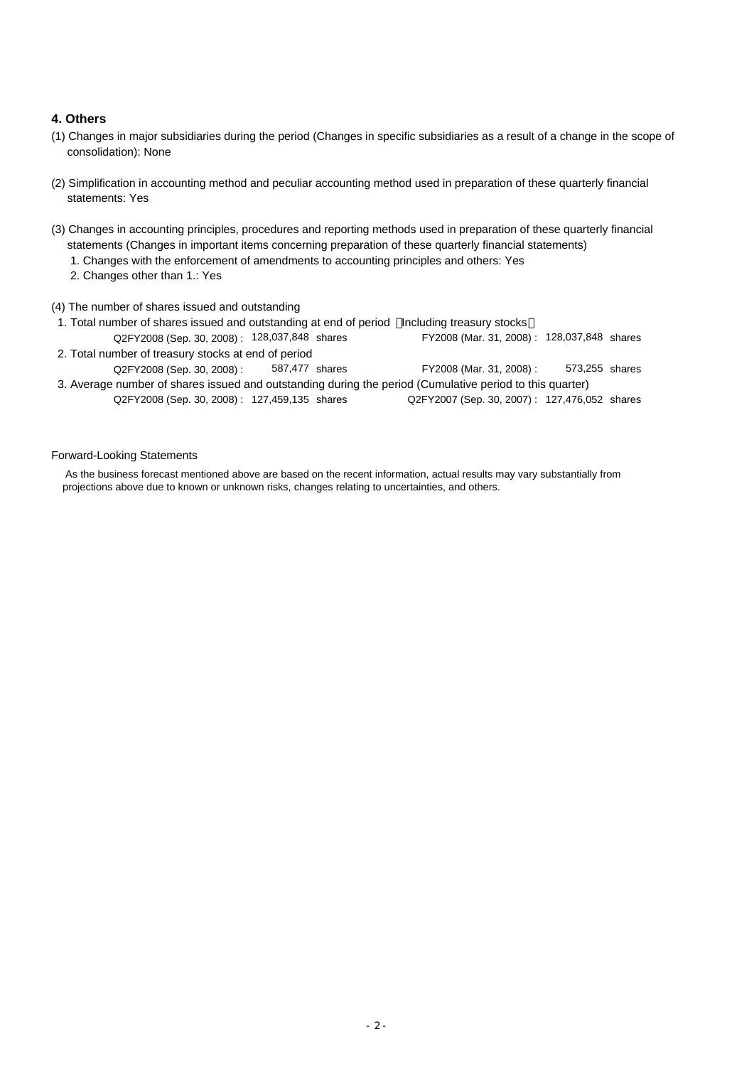#### **4. Others**

- (1) Changes in major subsidiaries during the period (Changes in specific subsidiaries as a result of a change in the scope of consolidation): None
- (2) Simplification in accounting method and peculiar accounting method used in preparation of these quarterly financial statements: Yes
- (3) Changes in accounting principles, procedures and reporting methods used in preparation of these quarterly financial statements (Changes in important items concerning preparation of these quarterly financial statements)
	- 1. Changes with the enforcement of amendments to accounting principles and others: Yes
	- 2. Changes other than 1.: Yes

#### (4) The number of shares issued and outstanding

- 1. Total number of shares issued and outstanding at end of period Including treasury stocks Q2FY2008 (Sep. 30, 2008) : 128,037,848 shares FY2008 (Mar. 31, 2008) : 128,037,848 shares 2. Total number of treasury stocks at end of period Q2FY2008 (Sep. 30, 2008) : shares FY2008 (Mar. 31, 2008) : 3. Average number of shares issued and outstanding during the period (Cumulative period to this quarter) 587,477 573,255 FY2008 (Mar. 31, 2008): 128,037,848 shares
- Q2FY2008 (Sep. 30, 2008) : 127,459,135 shares Q2FY2007 (Sep. 30, 2007) : 127,476,052 shares Q2FY2007 (Sep. 30, 2007): 127,476,052 shares

#### Forward-Looking Statements

 As the business forecast mentioned above are based on the recent information, actual results may vary substantially from projections above due to known or unknown risks, changes relating to uncertainties, and others.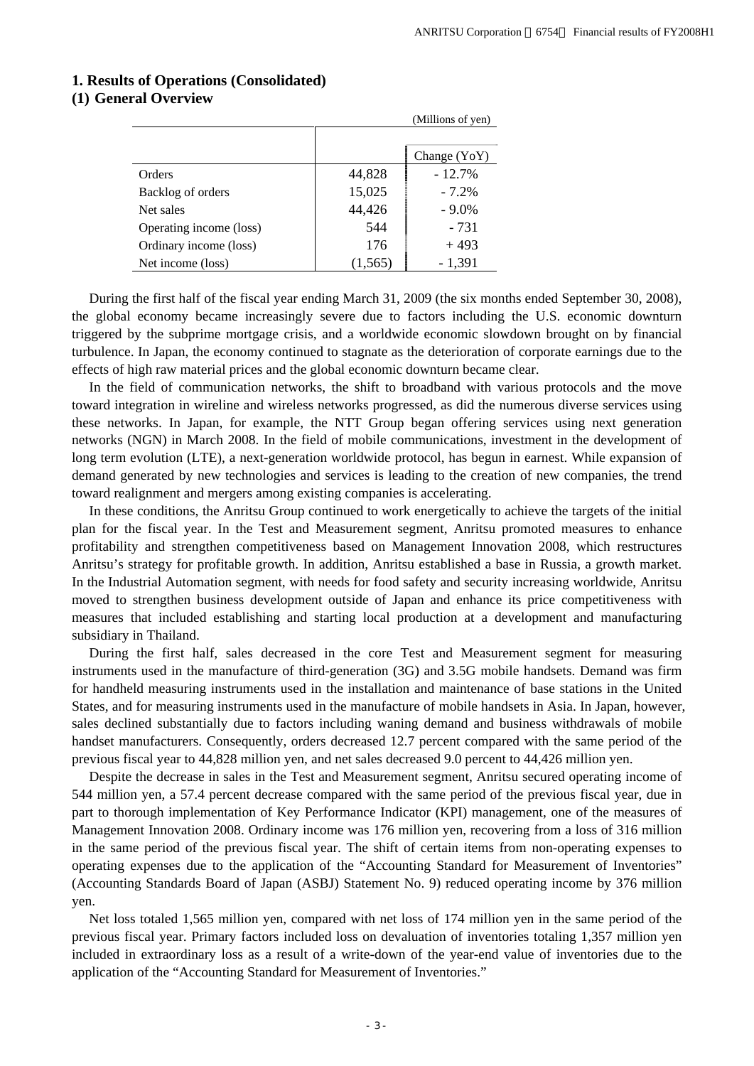# **1. Results of Operations (Consolidated)**

# **(1) General Overview**

|                         |          | (            |
|-------------------------|----------|--------------|
|                         |          | Change (YoY) |
| Orders                  | 44,828   | $-12.7%$     |
| Backlog of orders       | 15,025   | $-7.2\%$     |
| Net sales               | 44,426   | $-9.0\%$     |
| Operating income (loss) | 544      | $-731$       |
| Ordinary income (loss)  | 176      | $+493$       |
| Net income (loss)       | (1, 565) | $-1,391$     |

During the first half of the fiscal year ending March 31, 2009 (the six months ended September 30, 2008), the global economy became increasingly severe due to factors including the U.S. economic downturn triggered by the subprime mortgage crisis, and a worldwide economic slowdown brought on by financial turbulence. In Japan, the economy continued to stagnate as the deterioration of corporate earnings due to the effects of high raw material prices and the global economic downturn became clear.

(Millions of yen)

In the field of communication networks, the shift to broadband with various protocols and the move toward integration in wireline and wireless networks progressed, as did the numerous diverse services using these networks. In Japan, for example, the NTT Group began offering services using next generation networks (NGN) in March 2008. In the field of mobile communications, investment in the development of long term evolution (LTE), a next-generation worldwide protocol, has begun in earnest. While expansion of demand generated by new technologies and services is leading to the creation of new companies, the trend toward realignment and mergers among existing companies is accelerating.

In these conditions, the Anritsu Group continued to work energetically to achieve the targets of the initial plan for the fiscal year. In the Test and Measurement segment, Anritsu promoted measures to enhance profitability and strengthen competitiveness based on Management Innovation 2008, which restructures Anritsu's strategy for profitable growth. In addition, Anritsu established a base in Russia, a growth market. In the Industrial Automation segment, with needs for food safety and security increasing worldwide, Anritsu moved to strengthen business development outside of Japan and enhance its price competitiveness with measures that included establishing and starting local production at a development and manufacturing subsidiary in Thailand.

During the first half, sales decreased in the core Test and Measurement segment for measuring instruments used in the manufacture of third-generation (3G) and 3.5G mobile handsets. Demand was firm for handheld measuring instruments used in the installation and maintenance of base stations in the United States, and for measuring instruments used in the manufacture of mobile handsets in Asia. In Japan, however, sales declined substantially due to factors including waning demand and business withdrawals of mobile handset manufacturers. Consequently, orders decreased 12.7 percent compared with the same period of the previous fiscal year to 44,828 million yen, and net sales decreased 9.0 percent to 44,426 million yen.

Despite the decrease in sales in the Test and Measurement segment, Anritsu secured operating income of 544 million yen, a 57.4 percent decrease compared with the same period of the previous fiscal year, due in part to thorough implementation of Key Performance Indicator (KPI) management, one of the measures of Management Innovation 2008. Ordinary income was 176 million yen, recovering from a loss of 316 million in the same period of the previous fiscal year. The shift of certain items from non-operating expenses to operating expenses due to the application of the "Accounting Standard for Measurement of Inventories" (Accounting Standards Board of Japan (ASBJ) Statement No. 9) reduced operating income by 376 million yen.

Net loss totaled 1,565 million yen, compared with net loss of 174 million yen in the same period of the previous fiscal year. Primary factors included loss on devaluation of inventories totaling 1,357 million yen included in extraordinary loss as a result of a write-down of the year-end value of inventories due to the application of the "Accounting Standard for Measurement of Inventories."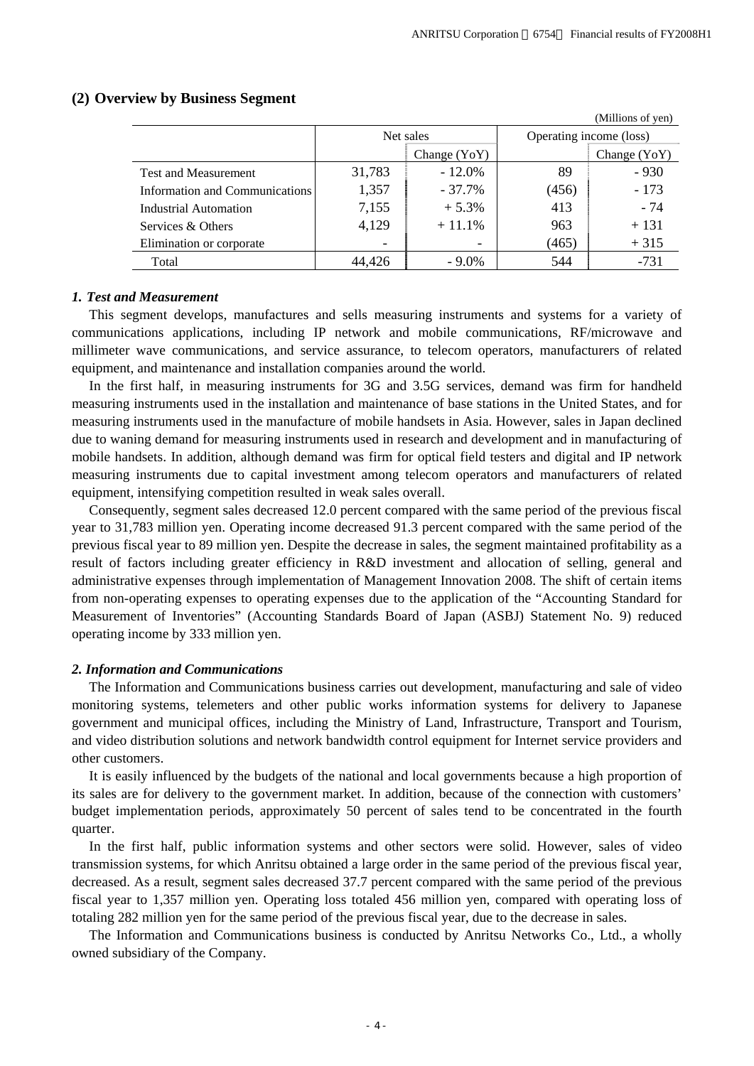|                                |                |           |                         | (Millions of yen) |  |
|--------------------------------|----------------|-----------|-------------------------|-------------------|--|
|                                |                | Net sales | Operating income (loss) |                   |  |
|                                | Change $(YoY)$ |           |                         | Change (YoY)      |  |
| <b>Test and Measurement</b>    | 31,783         | $-12.0%$  | 89                      | $-930$            |  |
| Information and Communications | 1,357          | $-37.7\%$ | (456)                   | $-173$            |  |
| Industrial Automation          | 7,155          | $+5.3%$   | 413                     | $-74$             |  |
| Services & Others              | 4,129          | $+11.1%$  | 963                     | $+131$            |  |
| Elimination or corporate       | -              | -         | (465)                   | $+315$            |  |
| Total                          | 44.426         | $-9.0\%$  | 544                     | $-731$            |  |

#### **(2) Overview by Business Segment**

#### *1. Test and Measurement*

This segment develops, manufactures and sells measuring instruments and systems for a variety of communications applications, including IP network and mobile communications, RF/microwave and millimeter wave communications, and service assurance, to telecom operators, manufacturers of related equipment, and maintenance and installation companies around the world.

In the first half, in measuring instruments for 3G and 3.5G services, demand was firm for handheld measuring instruments used in the installation and maintenance of base stations in the United States, and for measuring instruments used in the manufacture of mobile handsets in Asia. However, sales in Japan declined due to waning demand for measuring instruments used in research and development and in manufacturing of mobile handsets. In addition, although demand was firm for optical field testers and digital and IP network measuring instruments due to capital investment among telecom operators and manufacturers of related equipment, intensifying competition resulted in weak sales overall.

Consequently, segment sales decreased 12.0 percent compared with the same period of the previous fiscal year to 31,783 million yen. Operating income decreased 91.3 percent compared with the same period of the previous fiscal year to 89 million yen. Despite the decrease in sales, the segment maintained profitability as a result of factors including greater efficiency in R&D investment and allocation of selling, general and administrative expenses through implementation of Management Innovation 2008. The shift of certain items from non-operating expenses to operating expenses due to the application of the "Accounting Standard for Measurement of Inventories" (Accounting Standards Board of Japan (ASBJ) Statement No. 9) reduced operating income by 333 million yen.

#### *2. Information and Communications*

The Information and Communications business carries out development, manufacturing and sale of video monitoring systems, telemeters and other public works information systems for delivery to Japanese government and municipal offices, including the Ministry of Land, Infrastructure, Transport and Tourism, and video distribution solutions and network bandwidth control equipment for Internet service providers and other customers.

It is easily influenced by the budgets of the national and local governments because a high proportion of its sales are for delivery to the government market. In addition, because of the connection with customers' budget implementation periods, approximately 50 percent of sales tend to be concentrated in the fourth quarter.

In the first half, public information systems and other sectors were solid. However, sales of video transmission systems, for which Anritsu obtained a large order in the same period of the previous fiscal year, decreased. As a result, segment sales decreased 37.7 percent compared with the same period of the previous fiscal year to 1,357 million yen. Operating loss totaled 456 million yen, compared with operating loss of totaling 282 million yen for the same period of the previous fiscal year, due to the decrease in sales.

The Information and Communications business is conducted by Anritsu Networks Co., Ltd., a wholly owned subsidiary of the Company.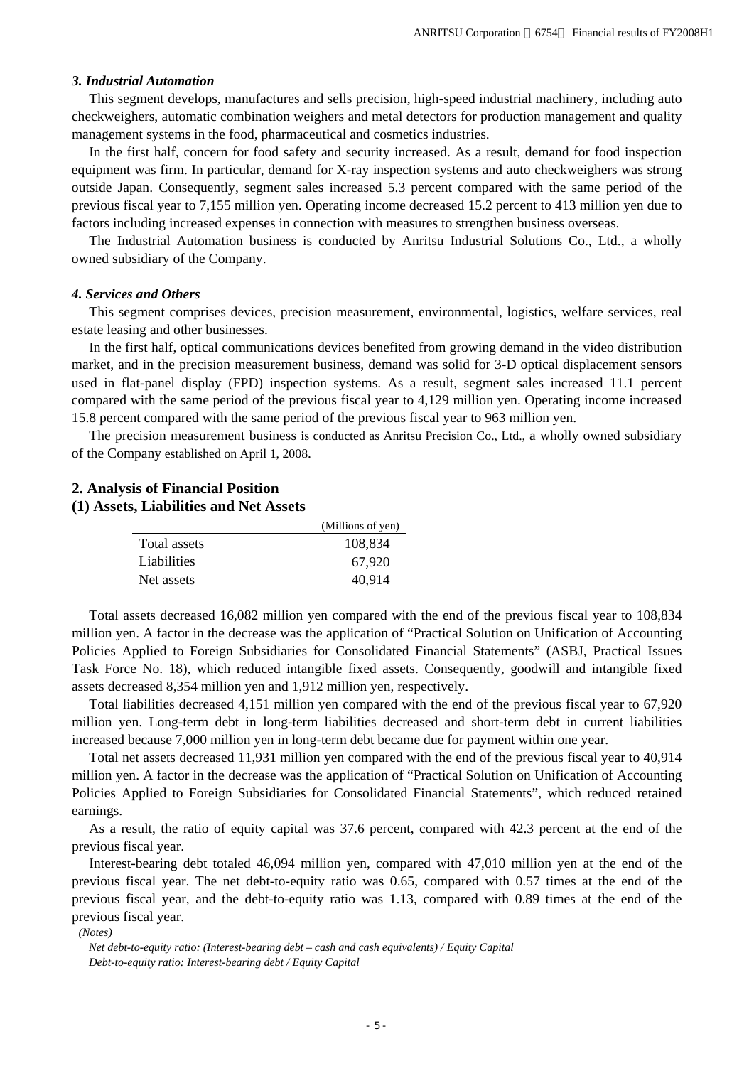#### *3. Industrial Automation*

This segment develops, manufactures and sells precision, high-speed industrial machinery, including auto checkweighers, automatic combination weighers and metal detectors for production management and quality management systems in the food, pharmaceutical and cosmetics industries.

In the first half, concern for food safety and security increased. As a result, demand for food inspection equipment was firm. In particular, demand for X-ray inspection systems and auto checkweighers was strong outside Japan. Consequently, segment sales increased 5.3 percent compared with the same period of the previous fiscal year to 7,155 million yen. Operating income decreased 15.2 percent to 413 million yen due to factors including increased expenses in connection with measures to strengthen business overseas.

The Industrial Automation business is conducted by Anritsu Industrial Solutions Co., Ltd., a wholly owned subsidiary of the Company.

#### *4. Services and Others*

This segment comprises devices, precision measurement, environmental, logistics, welfare services, real estate leasing and other businesses.

In the first half, optical communications devices benefited from growing demand in the video distribution market, and in the precision measurement business, demand was solid for 3-D optical displacement sensors used in flat-panel display (FPD) inspection systems. As a result, segment sales increased 11.1 percent compared with the same period of the previous fiscal year to 4,129 million yen. Operating income increased 15.8 percent compared with the same period of the previous fiscal year to 963 million yen.

The precision measurement business is conducted as Anritsu Precision Co., Ltd., a wholly owned subsidiary of the Company established on April 1, 2008.

#### **2. Analysis of Financial Position**

#### **(1) Assets, Liabilities and Net Assets**

|              | (Millions of yen) |
|--------------|-------------------|
| Total assets | 108,834           |
| Liabilities  | 67.920            |
| Net assets   | 40.914            |

Total assets decreased 16,082 million yen compared with the end of the previous fiscal year to 108,834 million yen. A factor in the decrease was the application of "Practical Solution on Unification of Accounting Policies Applied to Foreign Subsidiaries for Consolidated Financial Statements" (ASBJ, Practical Issues Task Force No. 18), which reduced intangible fixed assets. Consequently, goodwill and intangible fixed assets decreased 8,354 million yen and 1,912 million yen, respectively.

Total liabilities decreased 4,151 million yen compared with the end of the previous fiscal year to 67,920 million yen. Long-term debt in long-term liabilities decreased and short-term debt in current liabilities increased because 7,000 million yen in long-term debt became due for payment within one year.

Total net assets decreased 11,931 million yen compared with the end of the previous fiscal year to 40,914 million yen. A factor in the decrease was the application of "Practical Solution on Unification of Accounting Policies Applied to Foreign Subsidiaries for Consolidated Financial Statements", which reduced retained earnings.

As a result, the ratio of equity capital was 37.6 percent, compared with 42.3 percent at the end of the previous fiscal year.

Interest-bearing debt totaled 46,094 million yen, compared with 47,010 million yen at the end of the previous fiscal year. The net debt-to-equity ratio was 0.65, compared with 0.57 times at the end of the previous fiscal year, and the debt-to-equity ratio was 1.13, compared with 0.89 times at the end of the previous fiscal year.

#### *(Notes)*

*Net debt-to-equity ratio: (Interest-bearing debt – cash and cash equivalents) / Equity Capital Debt-to-equity ratio: Interest-bearing debt / Equity Capital*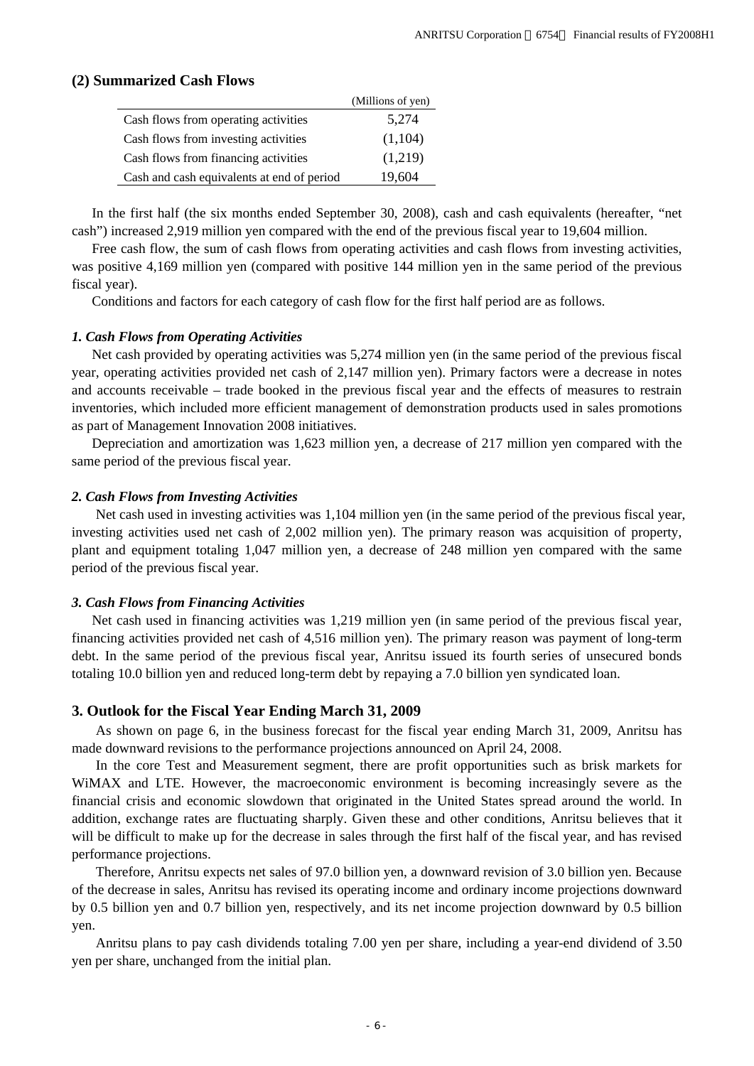#### **(2) Summarized Cash Flows**

|                                            | (Millions of yen) |
|--------------------------------------------|-------------------|
| Cash flows from operating activities       | 5,274             |
| Cash flows from investing activities       | (1,104)           |
| Cash flows from financing activities       | (1,219)           |
| Cash and cash equivalents at end of period | 19,604            |

In the first half (the six months ended September 30, 2008), cash and cash equivalents (hereafter, "net cash") increased 2,919 million yen compared with the end of the previous fiscal year to 19,604 million.

Free cash flow, the sum of cash flows from operating activities and cash flows from investing activities, was positive 4,169 million yen (compared with positive 144 million yen in the same period of the previous fiscal year).

Conditions and factors for each category of cash flow for the first half period are as follows.

#### *1. Cash Flows from Operating Activities*

Net cash provided by operating activities was 5,274 million yen (in the same period of the previous fiscal year, operating activities provided net cash of 2,147 million yen). Primary factors were a decrease in notes and accounts receivable – trade booked in the previous fiscal year and the effects of measures to restrain inventories, which included more efficient management of demonstration products used in sales promotions as part of Management Innovation 2008 initiatives.

Depreciation and amortization was 1,623 million yen, a decrease of 217 million yen compared with the same period of the previous fiscal year.

#### *2. Cash Flows from Investing Activities*

Net cash used in investing activities was 1,104 million yen (in the same period of the previous fiscal year, investing activities used net cash of 2,002 million yen). The primary reason was acquisition of property, plant and equipment totaling 1,047 million yen, a decrease of 248 million yen compared with the same period of the previous fiscal year.

#### *3. Cash Flows from Financing Activities*

Net cash used in financing activities was 1,219 million yen (in same period of the previous fiscal year, financing activities provided net cash of 4,516 million yen). The primary reason was payment of long-term debt. In the same period of the previous fiscal year, Anritsu issued its fourth series of unsecured bonds totaling 10.0 billion yen and reduced long-term debt by repaying a 7.0 billion yen syndicated loan.

#### **3. Outlook for the Fiscal Year Ending March 31, 2009**

As shown on page 6, in the business forecast for the fiscal year ending March 31, 2009, Anritsu has made downward revisions to the performance projections announced on April 24, 2008.

In the core Test and Measurement segment, there are profit opportunities such as brisk markets for WiMAX and LTE. However, the macroeconomic environment is becoming increasingly severe as the financial crisis and economic slowdown that originated in the United States spread around the world. In addition, exchange rates are fluctuating sharply. Given these and other conditions, Anritsu believes that it will be difficult to make up for the decrease in sales through the first half of the fiscal year, and has revised performance projections.

Therefore, Anritsu expects net sales of 97.0 billion yen, a downward revision of 3.0 billion yen. Because of the decrease in sales, Anritsu has revised its operating income and ordinary income projections downward by 0.5 billion yen and 0.7 billion yen, respectively, and its net income projection downward by 0.5 billion yen.

Anritsu plans to pay cash dividends totaling 7.00 yen per share, including a year-end dividend of 3.50 yen per share, unchanged from the initial plan.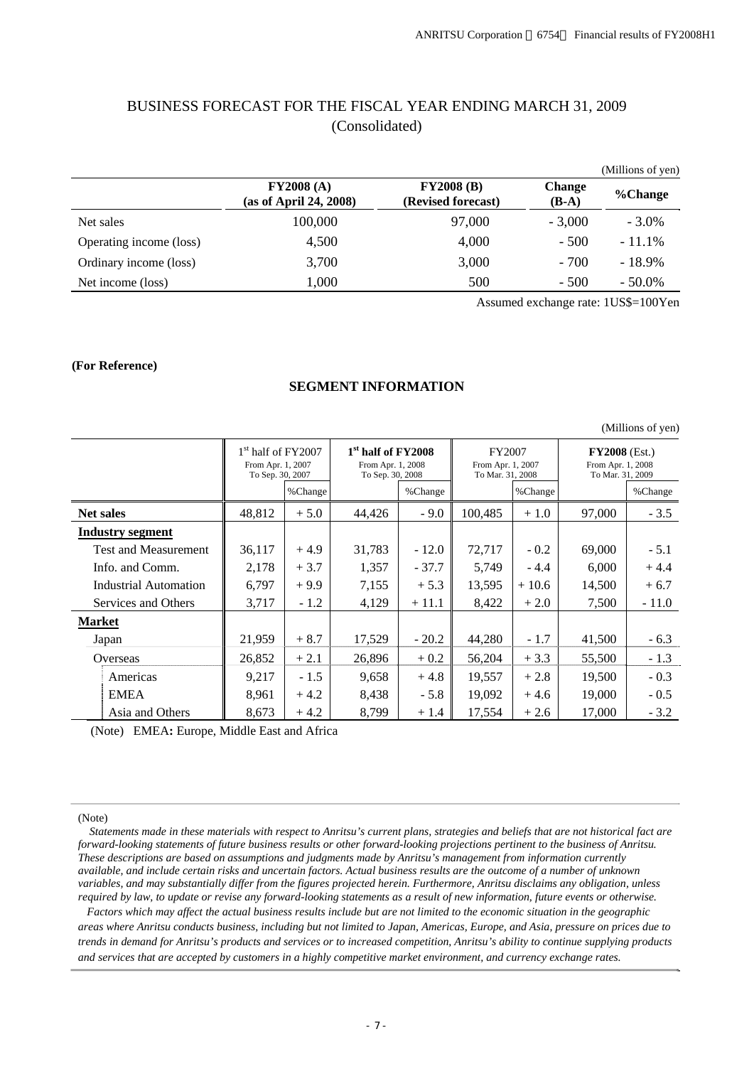# BUSINESS FORECAST FOR THE FISCAL YEAR ENDING MARCH 31, 2009 (Consolidated)

|                         |                                     |                                         |                          | (Millions of yen) |
|-------------------------|-------------------------------------|-----------------------------------------|--------------------------|-------------------|
|                         | FY2008(A)<br>(as of April 24, 2008) | <b>FY2008 (B)</b><br>(Revised forecast) | <b>Change</b><br>$(B-A)$ | %Change           |
| Net sales               | 100,000                             | 97,000                                  | $-3.000$                 | $-3.0\%$          |
| Operating income (loss) | 4,500                               | 4,000                                   | $-500$                   | $-11.1\%$         |
| Ordinary income (loss)  | 3,700                               | 3,000                                   | $-700$                   | $-18.9\%$         |
| Net income (loss)       | 1,000                               | 500                                     | $-500$                   | $-50.0\%$         |

Assumed exchange rate: 1US\$=100Yen

#### **(For Reference)**

#### **SEGMENT INFORMATION**

|                  |                             |                                           |         |                                                                                             |         |                                                 |         |                                                          | (Millions of yen) |
|------------------|-----------------------------|-------------------------------------------|---------|---------------------------------------------------------------------------------------------|---------|-------------------------------------------------|---------|----------------------------------------------------------|-------------------|
|                  |                             | $1st$ half of FY2007<br>From Apr. 1, 2007 |         | 1 <sup>st</sup> half of FY2008<br>From Apr. 1, 2008<br>To Sep. 30, 2007<br>To Sep. 30, 2008 |         | FY2007<br>From Apr. 1, 2007<br>To Mar. 31, 2008 |         | $FY2008$ (Est.)<br>From Apr. 1, 2008<br>To Mar. 31, 2009 |                   |
|                  |                             |                                           | %Change |                                                                                             | %Change |                                                 | %Change |                                                          | %Change           |
| <b>Net sales</b> |                             | 48,812                                    | $+5.0$  | 44,426                                                                                      | $-9.0$  | 100,485                                         | $+1.0$  | 97,000                                                   | $-3.5$            |
|                  | <b>Industry segment</b>     |                                           |         |                                                                                             |         |                                                 |         |                                                          |                   |
|                  | <b>Test and Measurement</b> | 36,117                                    | $+4.9$  | 31,783                                                                                      | $-12.0$ | 72,717                                          | $-0.2$  | 69,000                                                   | $-5.1$            |
|                  | Info. and Comm.             | 2,178                                     | $+3.7$  | 1,357                                                                                       | $-37.7$ | 5,749                                           | $-4.4$  | 6,000                                                    | $+4.4$            |
|                  | Industrial Automation       | 6,797                                     | $+9.9$  | 7,155                                                                                       | $+5.3$  | 13,595                                          | $+10.6$ | 14,500                                                   | $+6.7$            |
|                  | Services and Others         | 3,717                                     | $-1.2$  | 4,129                                                                                       | $+11.1$ | 8,422                                           | $+2.0$  | 7,500                                                    | $-11.0$           |
| <b>Market</b>    |                             |                                           |         |                                                                                             |         |                                                 |         |                                                          |                   |
|                  | Japan                       | 21,959                                    | $+8.7$  | 17,529                                                                                      | $-20.2$ | 44,280                                          | $-1.7$  | 41,500                                                   | $-6.3$            |
|                  | Overseas                    | 26,852                                    | $+2.1$  | 26,896                                                                                      | $+0.2$  | 56,204                                          | $+3.3$  | 55,500                                                   | $-1.3$            |
|                  | Americas                    | 9,217                                     | $-1.5$  | 9,658                                                                                       | $+4.8$  | 19,557                                          | $+2.8$  | 19,500                                                   | $-0.3$            |
|                  | <b>EMEA</b>                 | 8,961                                     | $+4.2$  | 8,438                                                                                       | $-5.8$  | 19,092                                          | $+4.6$  | 19,000                                                   | $-0.5$            |
|                  | Asia and Others             | 8,673                                     | $+4.2$  | 8,799                                                                                       | $+1.4$  | 17,554                                          | $+2.6$  | 17,000                                                   | $-3.2$            |

(Note) EMEA**:** Europe, Middle East and Africa

(Note)

 *Statements made in these materials with respect to Anritsu's current plans, strategies and beliefs that are not historical fact are forward-looking statements of future business results or other forward-looking projections pertinent to the business of Anritsu. These descriptions are based on assumptions and judgments made by Anritsu's management from information currently available, and include certain risks and uncertain factors. Actual business results are the outcome of a number of unknown variables, and may substantially differ from the figures projected herein. Furthermore, Anritsu disclaims any obligation, unless required by law, to update or revise any forward-looking statements as a result of new information, future events or otherwise.*

*Factors which may affect the actual business results include but are not limited to the economic situation in the geographic areas where Anritsu conducts business, including but not limited to Japan, Americas, Europe, and Asia, pressure on prices due to trends in demand for Anritsu's products and services or to increased competition, Anritsu's ability to continue supplying products and services that are accepted by customers in a highly competitive market environment, and currency exchange rates.*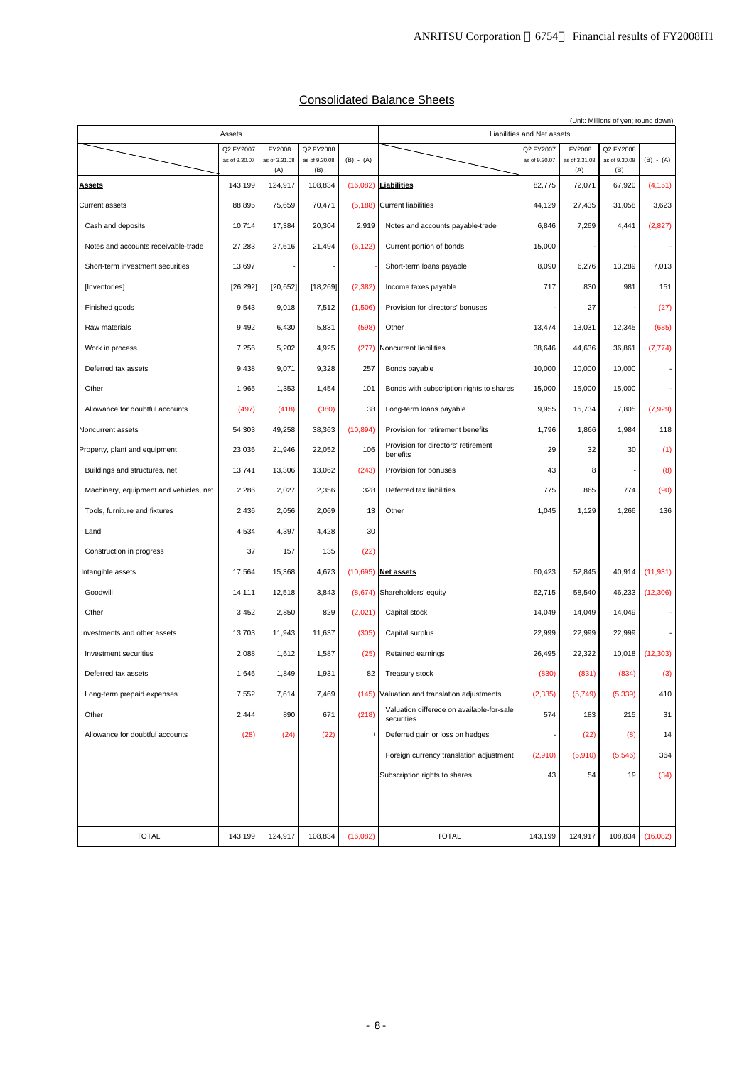| <b>Consolidated Balance Sheets</b> |  |
|------------------------------------|--|
|                                    |  |

| Assets                                 |               |               |               |             | (Unit: Millions of yen; round down)<br>Liabilities and Net assets |               |               |               |             |
|----------------------------------------|---------------|---------------|---------------|-------------|-------------------------------------------------------------------|---------------|---------------|---------------|-------------|
|                                        | Q2 FY2007     | FY2008        | Q2 FY2008     |             |                                                                   | Q2 FY2007     | FY2008        | Q2 FY2008     |             |
|                                        | as of 9.30.07 | as of 3.31.08 | as of 9.30.08 | $(B) - (A)$ |                                                                   | as of 9.30.07 | as of 3.31.08 | as of 9.30.08 | $(B) - (A)$ |
|                                        |               | (A)           | (B)           |             |                                                                   |               | (A)           | (B)           |             |
| <b>Assets</b>                          | 143,199       | 124,917       | 108,834       |             | (16,082) Liabilities                                              | 82,775        | 72,071        | 67,920        | (4, 151)    |
| <b>Current assets</b>                  | 88,895        | 75,659        | 70,471        |             | (5,188) Current liabilities                                       | 44,129        | 27,435        | 31,058        | 3,623       |
| Cash and deposits                      | 10,714        | 17,384        | 20,304        | 2,919       | Notes and accounts payable-trade                                  | 6,846         | 7,269         | 4,441         | (2,827)     |
| Notes and accounts receivable-trade    | 27,283        | 27,616        | 21,494        | (6, 122)    | Current portion of bonds                                          | 15,000        |               |               |             |
| Short-term investment securities       | 13,697        |               |               |             | Short-term loans payable                                          | 8,090         | 6,276         | 13,289        | 7,013       |
| [Inventories]                          | [26, 292]     | [20, 652]     | [18, 269]     | (2, 382)    | Income taxes payable                                              | 717           | 830           | 981           | 151         |
| Finished goods                         | 9,543         | 9,018         | 7,512         | (1,506)     | Provision for directors' bonuses                                  |               | 27            |               | (27)        |
| Raw materials                          | 9,492         | 6,430         | 5,831         | (598)       | Other                                                             | 13,474        | 13,031        | 12,345        | (685)       |
| Work in process                        | 7,256         | 5,202         | 4,925         |             | (277) Noncurrent liabilities                                      | 38,646        | 44,636        | 36,861        | (7, 774)    |
| Deferred tax assets                    | 9,438         | 9,071         | 9,328         | 257         | Bonds payable                                                     | 10,000        | 10,000        | 10,000        |             |
| Other                                  | 1,965         | 1,353         | 1,454         | 101         | Bonds with subscription rights to shares                          | 15,000        | 15,000        | 15,000        |             |
| Allowance for doubtful accounts        | (497)         | (418)         | (380)         | 38          | Long-term loans payable                                           | 9,955         | 15,734        | 7,805         | (7,929)     |
| Noncurrent assets                      | 54,303        | 49,258        | 38,363        | (10, 894)   | Provision for retirement benefits                                 | 1,796         | 1,866         | 1,984         | 118         |
| Property, plant and equipment          | 23,036        | 21,946        | 22,052        | 106         | Provision for directors' retirement<br>benefits                   | 29            | 32            | 30            | (1)         |
| Buildings and structures, net          | 13,741        | 13,306        | 13,062        | (243)       | Provision for bonuses                                             | 43            | 8             |               | (8)         |
| Machinery, equipment and vehicles, net | 2,286         | 2,027         | 2,356         | 328         | Deferred tax liabilities                                          | 775           | 865           | 774           | (90)        |
| Tools, furniture and fixtures          | 2,436         | 2,056         | 2,069         | 13          | Other                                                             | 1,045         | 1,129         | 1,266         | 136         |
| Land                                   | 4,534         | 4,397         | 4,428         | 30          |                                                                   |               |               |               |             |
| Construction in progress               | 37            | 157           | 135           | (22)        |                                                                   |               |               |               |             |
| Intangible assets                      | 17,564        | 15,368        | 4,673         |             | $(10,695)$ Net assets                                             | 60,423        | 52,845        | 40,914        | (11, 931)   |
| Goodwill                               | 14,111        | 12,518        | 3,843         |             | (8,674) Shareholders' equity                                      | 62,715        | 58,540        | 46,233        | (12, 306)   |
| Other                                  | 3,452         | 2,850         | 829           | (2,021)     | Capital stock                                                     | 14,049        | 14,049        | 14,049        |             |
| Investments and other assets           | 13,703        | 11,943        | 11,637        | (305)       | Capital surplus                                                   | 22,999        | 22,999        | 22,999        |             |
| Investment securities                  | 2,088         | 1,612         | 1,587         | (25)        | Retained earnings                                                 | 26,495        | 22,322        | 10,018        | (12, 303)   |
| Deferred tax assets                    | 1,646         | 1,849         | 1,931         | 82          | Treasury stock                                                    | (830)         | (831)         | (834)         | (3)         |
| Long-term prepaid expenses             | 7,552         | 7,614         | 7,469         |             | (145) Valuation and translation adjustments                       | (2, 335)      | (5,749)       | (5, 339)      | 410         |
| Other                                  | 2,444         | 890           | 671           | (218)       | Valuation differece on available-for-sale<br>securities           | 574           | 183           | 215           | 31          |
| Allowance for doubtful accounts        | (28)          | (24)          | (22)          |             | Deferred gain or loss on hedges                                   |               | (22)          | (8)           | 14          |
|                                        |               |               |               |             | Foreign currency translation adjustment                           | (2,910)       | (5,910)       | (5, 546)      | 364         |
|                                        |               |               |               |             | Subscription rights to shares                                     | 43            | 54            | 19            | (34)        |
|                                        |               |               |               |             |                                                                   |               |               |               |             |
|                                        |               |               |               |             |                                                                   |               |               |               |             |
| <b>TOTAL</b>                           | 143,199       | 124,917       | 108,834       | (16,082)    | <b>TOTAL</b>                                                      | 143,199       | 124,917       | 108,834       | (16,082)    |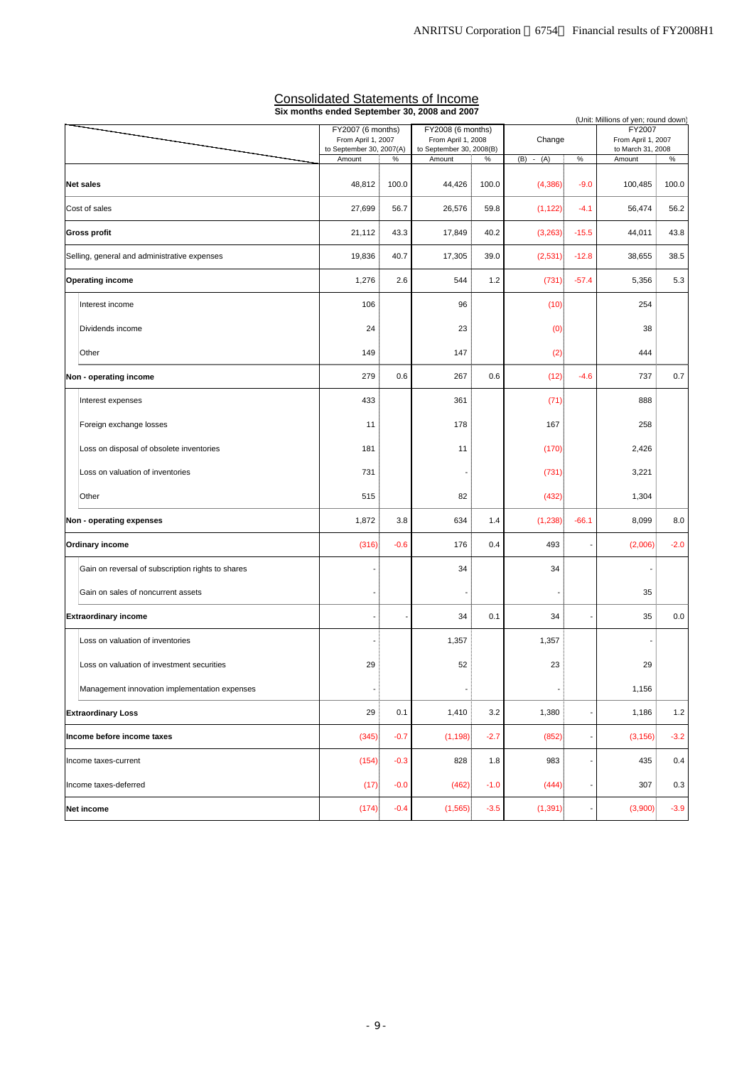|                                                   | FY2007 (6 months)                              | Six months ended September 30, 2008 and 2007<br>FY2008 (6 months) |                                                |        | (Unit: Millions of yen; round down)<br>FY2007 |                          |                                         |        |
|---------------------------------------------------|------------------------------------------------|-------------------------------------------------------------------|------------------------------------------------|--------|-----------------------------------------------|--------------------------|-----------------------------------------|--------|
|                                                   | From April 1, 2007<br>to September 30, 2007(A) |                                                                   | From April 1, 2008<br>to September 30, 2008(B) |        | Change                                        |                          | From April 1, 2007<br>to March 31, 2008 |        |
|                                                   | Amount                                         | $\%$                                                              | Amount                                         | $\%$   | $(B) - (A)$                                   | $\%$                     | Amount                                  | $\%$   |
| <b>Net sales</b>                                  | 48,812                                         | 100.0                                                             | 44,426                                         | 100.0  | (4,386)                                       | $-9.0$                   | 100,485                                 | 100.0  |
| Cost of sales                                     | 27,699                                         | 56.7                                                              | 26,576                                         | 59.8   | (1, 122)                                      | $-4.1$                   | 56,474                                  | 56.2   |
| <b>Gross profit</b>                               | 21,112                                         | 43.3                                                              | 17,849                                         | 40.2   | (3,263)                                       | $-15.5$                  | 44,011                                  | 43.8   |
| Selling, general and administrative expenses      | 19,836                                         | 40.7                                                              | 17,305                                         | 39.0   | (2,531)                                       | $-12.8$                  | 38,655                                  | 38.5   |
| <b>Operating income</b>                           | 1,276                                          | 2.6                                                               | 544                                            | 1.2    | (731)                                         | $-57.4$                  | 5,356                                   | 5.3    |
| Interest income                                   | 106                                            |                                                                   | 96                                             |        | (10)                                          |                          | 254                                     |        |
| Dividends income                                  | 24                                             |                                                                   | 23                                             |        | (0)                                           |                          | 38                                      |        |
| Other                                             | 149                                            |                                                                   | 147                                            |        | (2)                                           |                          | 444                                     |        |
| Non - operating income                            | 279                                            | 0.6                                                               | 267                                            | 0.6    | (12)                                          | $-4.6$                   | 737                                     | 0.7    |
| Interest expenses                                 | 433                                            |                                                                   | 361                                            |        | (71)                                          |                          | 888                                     |        |
| Foreign exchange losses                           | 11                                             |                                                                   | 178                                            |        | 167                                           |                          | 258                                     |        |
| Loss on disposal of obsolete inventories          | 181                                            |                                                                   | 11                                             |        | (170)                                         |                          | 2,426                                   |        |
| Loss on valuation of inventories                  | 731                                            |                                                                   |                                                |        | (731)                                         |                          | 3,221                                   |        |
| Other                                             | 515                                            |                                                                   | 82                                             |        | (432)                                         |                          | 1,304                                   |        |
| Non - operating expenses                          | 1,872                                          | 3.8                                                               | 634                                            | 1.4    | (1,238)                                       | $-66.1$                  | 8,099                                   | 8.0    |
| <b>Ordinary income</b>                            | (316)                                          | $-0.6$                                                            | 176                                            | 0.4    | 493                                           |                          | (2,006)                                 | $-2.0$ |
| Gain on reversal of subscription rights to shares |                                                |                                                                   | 34                                             |        | 34                                            |                          |                                         |        |
| Gain on sales of noncurrent assets                |                                                |                                                                   |                                                |        |                                               |                          | 35                                      |        |
| <b>Extraordinary income</b>                       |                                                |                                                                   | 34                                             | 0.1    | 34                                            |                          | 35                                      | 0.0    |
| Loss on valuation of inventories                  |                                                |                                                                   | 1,357                                          |        | 1,357                                         |                          |                                         |        |
| Loss on valuation of investment securities        | 29                                             |                                                                   | 52                                             |        | 23                                            |                          | 29                                      |        |
| Management innovation implementation expenses     |                                                |                                                                   |                                                |        |                                               |                          | 1,156                                   |        |
| <b>Extraordinary Loss</b>                         | 29                                             | 0.1                                                               | 1,410                                          | 3.2    | 1,380                                         | $\overline{\phantom{a}}$ | 1,186                                   | 1.2    |
| Income before income taxes                        | (345)                                          | $-0.7$                                                            | (1, 198)                                       | $-2.7$ | (852)                                         |                          | (3, 156)                                | $-3.2$ |
| Income taxes-current                              | (154)                                          | $-0.3$                                                            | 828                                            | 1.8    | 983                                           |                          | 435                                     | 0.4    |
| Income taxes-deferred                             | (17)                                           | $-0.0$                                                            | (462)                                          | $-1.0$ | (444)                                         |                          | 307                                     | 0.3    |
| Net income                                        | (174)                                          | $-0.4$                                                            | (1, 565)                                       | $-3.5$ | (1, 391)                                      |                          | (3,900)                                 | $-3.9$ |

#### Consolidated Statements of Income **Six months ended September 30, 2008 and 2007**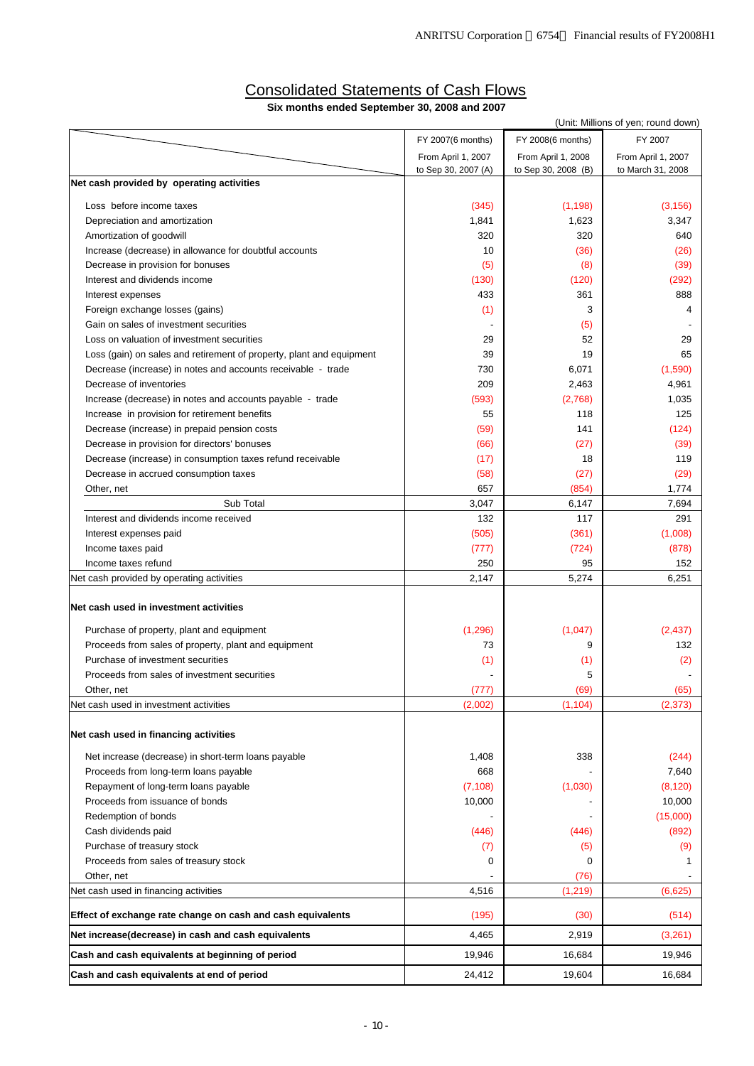### Consolidated Statements of Cash Flows **Six months ended September 30, 2008 and 2007**

|                                                                      |                     |                     | (Unit: Millions of yen; round down) |
|----------------------------------------------------------------------|---------------------|---------------------|-------------------------------------|
|                                                                      | FY 2007(6 months)   | FY 2008(6 months)   | FY 2007                             |
|                                                                      | From April 1, 2007  | From April 1, 2008  | From April 1, 2007                  |
|                                                                      | to Sep 30, 2007 (A) | to Sep 30, 2008 (B) | to March 31, 2008                   |
| Net cash provided by operating activities                            |                     |                     |                                     |
| Loss before income taxes                                             | (345)               | (1, 198)            | (3, 156)                            |
| Depreciation and amortization                                        | 1,841               | 1,623               | 3,347                               |
| Amortization of goodwill                                             | 320                 | 320                 | 640                                 |
| Increase (decrease) in allowance for doubtful accounts               | 10                  | (36)                | (26)                                |
| Decrease in provision for bonuses                                    | (5)                 | (8)                 | (39)                                |
| Interest and dividends income                                        | (130)               | (120)               | (292)                               |
| Interest expenses                                                    | 433                 | 361                 | 888                                 |
| Foreign exchange losses (gains)                                      | (1)                 | 3                   | 4                                   |
| Gain on sales of investment securities                               |                     | (5)                 |                                     |
| Loss on valuation of investment securities                           | 29                  | 52                  | 29                                  |
| Loss (gain) on sales and retirement of property, plant and equipment | 39                  | 19                  | 65                                  |
| Decrease (increase) in notes and accounts receivable - trade         | 730                 | 6,071               | (1,590)                             |
| Decrease of inventories                                              | 209                 | 2,463               | 4,961                               |
| Increase (decrease) in notes and accounts payable - trade            | (593)               | (2,768)             | 1,035                               |
| Increase in provision for retirement benefits                        | 55                  | 118                 | 125                                 |
| Decrease (increase) in prepaid pension costs                         | (59)                | 141                 | (124)                               |
| Decrease in provision for directors' bonuses                         | (66)                | (27)                | (39)                                |
| Decrease (increase) in consumption taxes refund receivable           | (17)                | 18                  | 119                                 |
| Decrease in accrued consumption taxes                                | (58)                | (27)                | (29)                                |
| Other, net                                                           | 657                 | (854)               | 1,774                               |
| Sub Total                                                            | 3,047               | 6,147               | 7,694                               |
| Interest and dividends income received                               | 132                 | 117                 | 291                                 |
| Interest expenses paid                                               | (505)               | (361)               | (1,008)                             |
| Income taxes paid                                                    | (777)               | (724)               | (878)                               |
| Income taxes refund                                                  | 250                 | 95                  | 152                                 |
| Net cash provided by operating activities                            | 2,147               | 5,274               | 6,251                               |
| Net cash used in investment activities                               |                     |                     |                                     |
| Purchase of property, plant and equipment                            | (1, 296)            | (1,047)             | (2, 437)                            |
| Proceeds from sales of property, plant and equipment                 | 73                  | 9                   | 132                                 |
| Purchase of investment securities                                    | (1)                 | (1)                 | (2)                                 |
| Proceeds from sales of investment securities                         |                     | 5                   |                                     |
| Other, net                                                           | (777)               | (69)                | (65)                                |
| Net cash used in investment activities                               | (2,002)             | (1, 104)            | (2, 373)                            |
| Net cash used in financing activities                                |                     |                     |                                     |
| Net increase (decrease) in short-term loans payable                  | 1,408               | 338                 | (244)                               |
| Proceeds from long-term loans payable                                | 668                 |                     | 7,640                               |
| Repayment of long-term loans payable                                 | (7, 108)            | (1,030)             | (8, 120)                            |
| Proceeds from issuance of bonds                                      | 10,000              |                     | 10,000                              |
| Redemption of bonds                                                  |                     |                     | (15,000)                            |
| Cash dividends paid                                                  | (446)               | (446)               | (892)                               |
| Purchase of treasury stock                                           | (7)                 | (5)                 | (9)                                 |
| Proceeds from sales of treasury stock                                | 0                   | 0                   | 1                                   |
| Other, net                                                           |                     | (76)                |                                     |
| Net cash used in financing activities                                | 4,516               | (1, 219)            | (6,625)                             |
| Effect of exchange rate change on cash and cash equivalents          | (195)               | (30)                | (514)                               |
| Net increase(decrease) in cash and cash equivalents                  | 4,465               | 2,919               | (3,261)                             |
| Cash and cash equivalents at beginning of period                     | 19,946              | 16,684              | 19,946                              |
| Cash and cash equivalents at end of period                           | 24,412              | 19,604              | 16,684                              |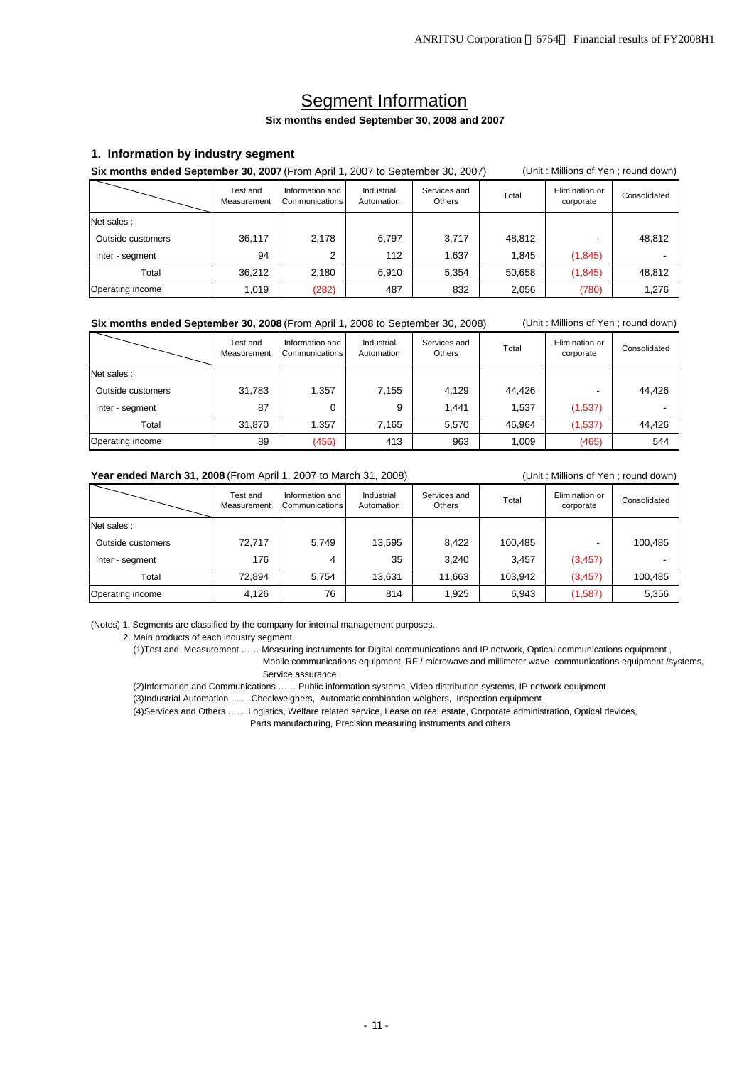# Segment Information

#### **Six months ended September 30, 2008 and 2007**

#### **1. Information by industry segment**

**Six months ended September 30, 2007** (From April 1, 2007 to September 30, 2007) (Unit: Millions of Yen; round down)

|                   | Test and<br>Measurement | Information and<br>Communications | Industrial<br>Automation | Services and<br>Others | Total  | Elimination or<br>corporate | Consolidated |
|-------------------|-------------------------|-----------------------------------|--------------------------|------------------------|--------|-----------------------------|--------------|
| Net sales:        |                         |                                   |                          |                        |        |                             |              |
| Outside customers | 36,117                  | 2,178                             | 6,797                    | 3,717                  | 48,812 |                             | 48,812       |
| Inter - segment   | 94                      | ◠                                 | 112                      | 1,637                  | 1,845  | (1, 845)                    |              |
| Total             | 36.212                  | 2,180                             | 6,910                    | 5,354                  | 50,658 | (1,845)                     | 48,812       |
| Operating income  | 1,019                   | (282)                             | 487                      | 832                    | 2,056  | (780)                       | 1,276        |

#### **Six months ended September 30, 2008** (From April 1, 2008 to September 30, 2008) (Unit : Millions of Yen ; round down)

|                   | Test and<br>Measurement | Information and<br>Communications | Industrial<br>Automation | Services and<br>Others | Total  | Elimination or<br>corporate | Consolidated |
|-------------------|-------------------------|-----------------------------------|--------------------------|------------------------|--------|-----------------------------|--------------|
| Net sales:        |                         |                                   |                          |                        |        |                             |              |
| Outside customers | 31,783                  | 1,357                             | 7,155                    | 4.129                  | 44.426 |                             | 44.426       |
| Inter - segment   | 87                      | 0                                 | 9                        | 1.441                  | 1.537  | (1,537)                     |              |
| Total             | 31.870                  | 1,357                             | 7,165                    | 5.570                  | 45.964 | (1,537)                     | 44,426       |
| Operating income  | 89                      | (456)                             | 413                      | 963                    | 1,009  | (465)                       | 544          |

#### Year ended March 31, 2008 (From April 1, 2007 to March 31, 2008) (Unit: Millions of Yen; round down)

|                   | Test and<br>Measurement | Information and<br>Communications | Industrial<br>Automation | Services and<br>Others | Total   | Elimination or<br>corporate | Consolidated |
|-------------------|-------------------------|-----------------------------------|--------------------------|------------------------|---------|-----------------------------|--------------|
| Net sales:        |                         |                                   |                          |                        |         |                             |              |
| Outside customers | 72.717                  | 5.749                             | 13,595                   | 8.422                  | 100,485 | -                           | 100,485      |
| Inter - segment   | 176                     | 4                                 | 35                       | 3.240                  | 3,457   | (3, 457)                    |              |
| Total             | 72,894                  | 5.754                             | 13,631                   | 11,663                 | 103,942 | (3, 457)                    | 100,485      |
| Operating income  | 4,126                   | 76                                | 814                      | 1,925                  | 6,943   | (1,587)                     | 5,356        |

(Notes) 1. Segments are classified by the company for internal management purposes.

#### 2. Main products of each industry segment

(1)Test and Measurement …… Measuring instruments for Digital communications and IP network, Optical communications equipment ,

 Mobile communications equipment, RF / microwave and millimeter wave communications equipment /systems, Service assurance

(2)Information and Communications …… Public information systems, Video distribution systems, IP network equipment

(3)Industrial Automation …… Checkweighers, Automatic combination weighers, Inspection equipment

(4)Services and Others …… Logistics, Welfare related service, Lease on real estate, Corporate administration, Optical devices,

Parts manufacturing, Precision measuring instruments and others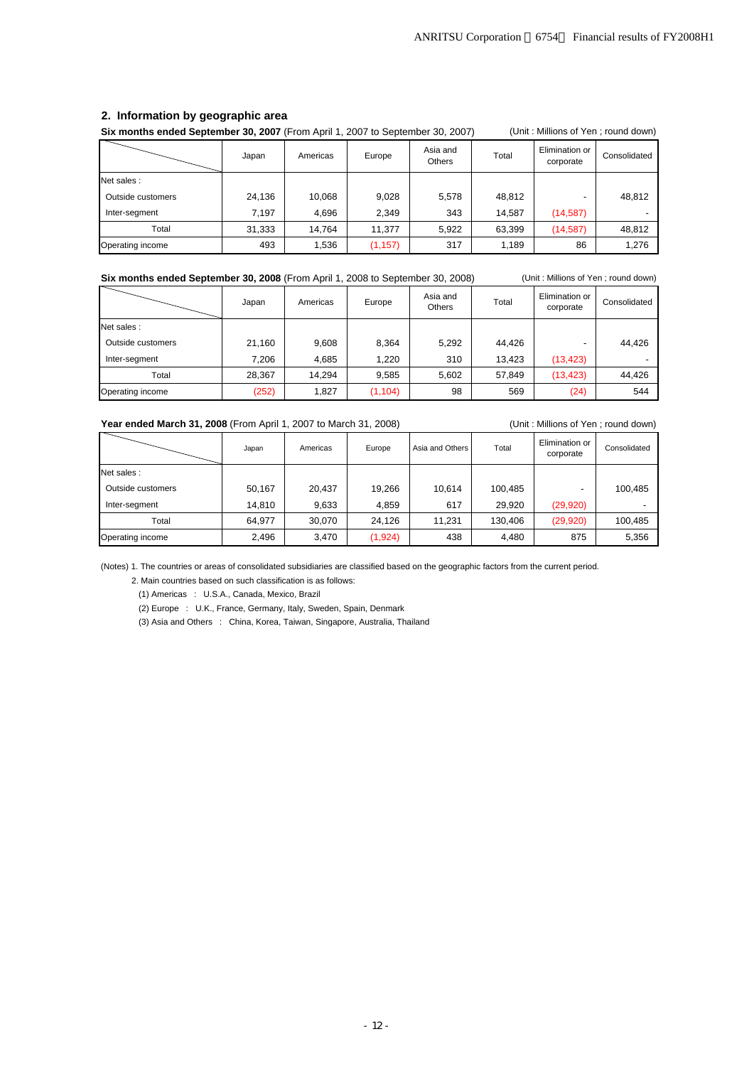#### **2. Information by geographic area**

**Six months ended September 30, 2007** (From April 1, 2007 to September 30, 2007) (Unit : Millions of Yen ; round down)

|                   | Japan  | Americas | Europe   | Asia and<br><b>Others</b> | Total  | Elimination or<br>corporate | Consolidated |
|-------------------|--------|----------|----------|---------------------------|--------|-----------------------------|--------------|
| Net sales:        |        |          |          |                           |        |                             |              |
| Outside customers | 24,136 | 10,068   | 9.028    | 5,578                     | 48,812 |                             | 48,812       |
| Inter-segment     | 7.197  | 4,696    | 2.349    | 343                       | 14.587 | (14, 587)                   |              |
| Total             | 31,333 | 14.764   | 11.377   | 5.922                     | 63,399 | (14, 587)                   | 48,812       |
| Operating income  | 493    | 1,536    | (1, 157) | 317                       | 1,189  | 86                          | 1,276        |

#### **Six months ended September 30, 2008** (From April 1, 2008 to September 30, 2008) (Unit: Millions of Yen; round down)

|                   | Japan  | Americas | Europe   | Asia and<br><b>Others</b> | Total  | Elimination or<br>corporate | Consolidated |
|-------------------|--------|----------|----------|---------------------------|--------|-----------------------------|--------------|
| Net sales:        |        |          |          |                           |        |                             |              |
| Outside customers | 21,160 | 9,608    | 8.364    | 5,292                     | 44.426 |                             | 44,426       |
| Inter-segment     | 7.206  | 4.685    | 1.220    | 310                       | 13.423 | (13, 423)                   |              |
| Total             | 28,367 | 14.294   | 9.585    | 5,602                     | 57,849 | (13, 423)                   | 44.426       |
| Operating income  | (252)  | 1,827    | (1, 104) | 98                        | 569    | (24)                        | 544          |

#### Year ended March 31, 2008 (From April 1, 2007 to March 31, 2008) **(Unit : Millions of Yen ; round down)**

|                   | Japan  | Americas | Europe  | Asia and Others | Total   | Elimination or<br>corporate | Consolidated |
|-------------------|--------|----------|---------|-----------------|---------|-----------------------------|--------------|
| Net sales:        |        |          |         |                 |         |                             |              |
| Outside customers | 50,167 | 20,437   | 19.266  | 10.614          | 100,485 |                             | 100,485      |
| Inter-segment     | 14,810 | 9,633    | 4.859   | 617             | 29.920  | (29, 920)                   |              |
| Total             | 64.977 | 30,070   | 24.126  | 11,231          | 130,406 | (29, 920)                   | 100,485      |
| Operating income  | 2,496  | 3,470    | (1,924) | 438             | 4,480   | 875                         | 5,356        |

(Notes) 1. The countries or areas of consolidated subsidiaries are classified based on the geographic factors from the current period.

2. Main countries based on such classification is as follows:

(1) Americas : U.S.A., Canada, Mexico, Brazil

(2) Europe : U.K., France, Germany, Italy, Sweden, Spain, Denmark

(3) Asia and Others : China, Korea, Taiwan, Singapore, Australia, Thailand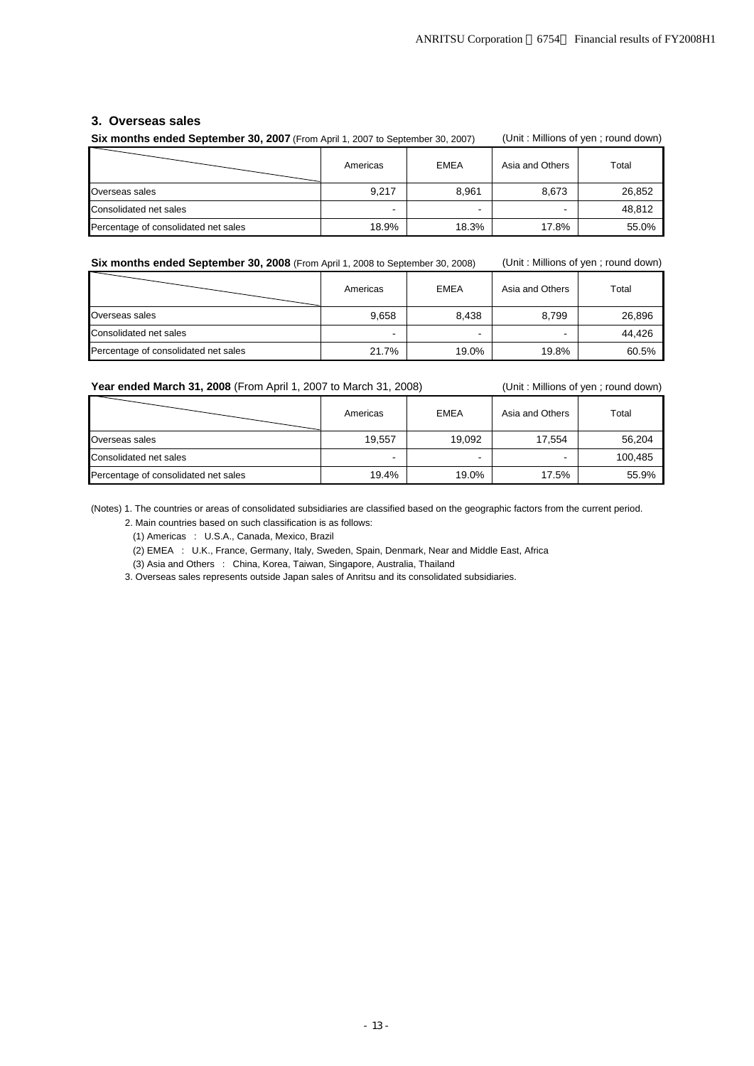#### **3. Overseas sales**

| Six months ended September 30, 2007 (From April 1, 2007 to September 30, 2007) | (Unit: Millions of yen; round down) |                          |                 |        |  |
|--------------------------------------------------------------------------------|-------------------------------------|--------------------------|-----------------|--------|--|
|                                                                                | <b>EMEA</b><br>Americas             |                          | Asia and Others | Total  |  |
| Overseas sales                                                                 | 9.217                               | 8.961                    | 8.673           | 26,852 |  |
| Consolidated net sales                                                         | <b>1</b>                            | $\overline{\phantom{a}}$ |                 | 48.812 |  |
| Percentage of consolidated net sales                                           | 18.9%                               | 18.3%                    | 17.8%           | 55.0%  |  |

**Six months ended September 30, 2008** (From April 1, 2008 to September 30, 2008) (Unit: Millions of yen ; round down)

|                                      | Americas | <b>EMEA</b> | Asia and Others | Total  |
|--------------------------------------|----------|-------------|-----------------|--------|
| Overseas sales                       | 9,658    | 8.438       | 8.799           | 26,896 |
| Consolidated net sales               | -        | -           | -               | 44.426 |
| Percentage of consolidated net sales | 21.7%    | 19.0%       | 19.8%           | 60.5%  |

Year ended March 31, 2008 (From April 1, 2007 to March 31, 2008) **(Unit: Millions of yen ; round down)** 

|                                      | Americas | <b>EMEA</b> | Asia and Others | Total   |
|--------------------------------------|----------|-------------|-----------------|---------|
| Overseas sales                       | 19.557   | 19.092      | 17.554          | 56,204  |
| Consolidated net sales               | -        |             |                 | 100,485 |
| Percentage of consolidated net sales | 19.4%    | 19.0%       | 17.5%           | 55.9%   |

(Notes) 1. The countries or areas of consolidated subsidiaries are classified based on the geographic factors from the current period. 2. Main countries based on such classification is as follows:

(1) Americas : U.S.A., Canada, Mexico, Brazil

(2) EMEA : U.K., France, Germany, Italy, Sweden, Spain, Denmark, Near and Middle East, Africa

(3) Asia and Others : China, Korea, Taiwan, Singapore, Australia, Thailand

3. Overseas sales represents outside Japan sales of Anritsu and its consolidated subsidiaries.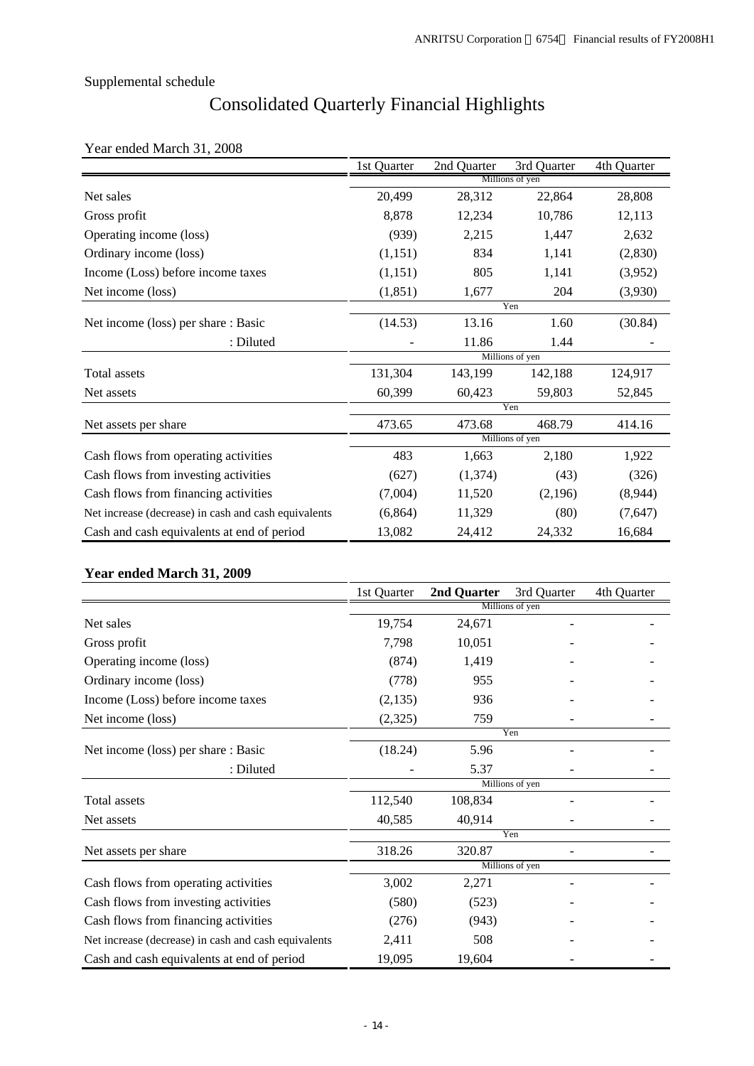# Consolidated Quarterly Financial Highlights

# Year ended March 31, 2008

|                                                      | 1st Quarter     | 2nd Quarter | 3rd Quarter     | 4th Quarter |  |  |  |
|------------------------------------------------------|-----------------|-------------|-----------------|-------------|--|--|--|
|                                                      |                 |             | Millions of yen |             |  |  |  |
| Net sales                                            | 20,499          | 28,312      | 22,864          | 28,808      |  |  |  |
| Gross profit                                         | 8,878           | 12,234      | 10,786          | 12,113      |  |  |  |
| Operating income (loss)                              | (939)           | 2,215       | 1,447           | 2,632       |  |  |  |
| Ordinary income (loss)                               | (1,151)         | 834         | 1,141           | (2,830)     |  |  |  |
| Income (Loss) before income taxes                    | (1,151)         | 805         | 1,141           | (3,952)     |  |  |  |
| Net income (loss)                                    | (1, 851)        | 1,677       | 204             | (3,930)     |  |  |  |
|                                                      |                 |             | Yen             |             |  |  |  |
| Net income (loss) per share : Basic                  | (14.53)         | 13.16       | 1.60            | (30.84)     |  |  |  |
| : Diluted                                            |                 | 11.86       | 1.44            |             |  |  |  |
|                                                      | Millions of yen |             |                 |             |  |  |  |
| Total assets                                         | 131,304         | 143,199     | 142,188         | 124,917     |  |  |  |
| Net assets                                           | 60,399          | 60,423      | 59,803          | 52,845      |  |  |  |
|                                                      |                 |             | Yen             |             |  |  |  |
| Net assets per share                                 | 473.65          | 473.68      | 468.79          | 414.16      |  |  |  |
|                                                      |                 |             | Millions of yen |             |  |  |  |
| Cash flows from operating activities                 | 483             | 1,663       | 2,180           | 1,922       |  |  |  |
| Cash flows from investing activities                 | (627)           | (1,374)     | (43)            | (326)       |  |  |  |
| Cash flows from financing activities                 | (7,004)         | 11,520      | (2,196)         | (8,944)     |  |  |  |
| Net increase (decrease) in cash and cash equivalents | (6,864)         | 11,329      | (80)            | (7,647)     |  |  |  |
| Cash and cash equivalents at end of period           | 13,082          | 24,412      | 24,332          | 16,684      |  |  |  |

## **Year ended March 31, 2009**

|                                                      | 1st Quarter | 2nd Quarter | 3rd Quarter     | 4th Quarter |
|------------------------------------------------------|-------------|-------------|-----------------|-------------|
|                                                      |             |             | Millions of yen |             |
| Net sales                                            | 19,754      | 24,671      |                 |             |
| Gross profit                                         | 7,798       | 10,051      |                 |             |
| Operating income (loss)                              | (874)       | 1,419       |                 |             |
| Ordinary income (loss)                               | (778)       | 955         |                 |             |
| Income (Loss) before income taxes                    | (2,135)     | 936         |                 |             |
| Net income (loss)                                    | (2,325)     | 759         |                 |             |
|                                                      |             |             | Yen             |             |
| Net income (loss) per share : Basic                  | (18.24)     | 5.96        |                 |             |
| : Diluted                                            |             | 5.37        |                 |             |
|                                                      |             |             | Millions of yen |             |
| Total assets                                         | 112,540     | 108,834     |                 |             |
| Net assets                                           | 40,585      | 40,914      |                 |             |
|                                                      |             |             | Yen             |             |
| Net assets per share                                 | 318.26      | 320.87      |                 |             |
|                                                      |             |             | Millions of yen |             |
| Cash flows from operating activities                 | 3,002       | 2,271       |                 |             |
| Cash flows from investing activities                 | (580)       | (523)       |                 |             |
| Cash flows from financing activities                 | (276)       | (943)       |                 |             |
| Net increase (decrease) in cash and cash equivalents | 2,411       | 508         |                 |             |
| Cash and cash equivalents at end of period           | 19,095      | 19,604      |                 |             |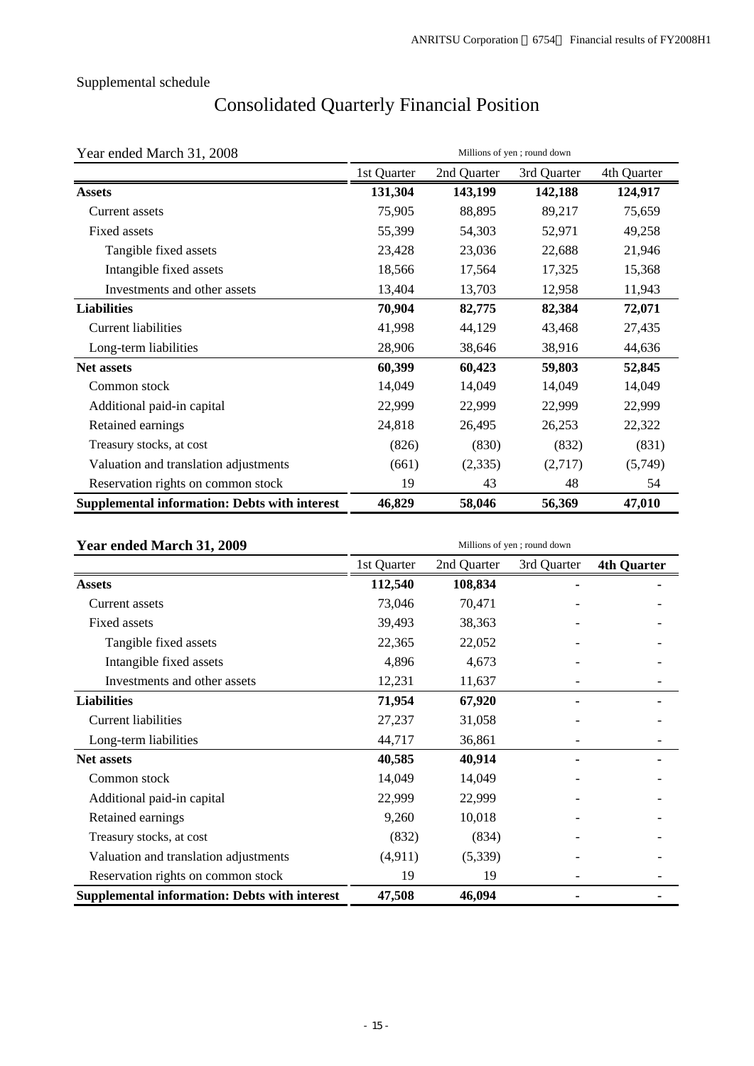# Consolidated Quarterly Financial Position

| Year ended March 31, 2008                            |             |             | Millions of yen; round down |             |
|------------------------------------------------------|-------------|-------------|-----------------------------|-------------|
|                                                      | 1st Quarter | 2nd Quarter | 3rd Quarter                 | 4th Quarter |
| <b>Assets</b>                                        | 131,304     | 143,199     | 142,188                     | 124,917     |
| Current assets                                       | 75,905      | 88,895      | 89,217                      | 75,659      |
| Fixed assets                                         | 55,399      | 54,303      | 52,971                      | 49,258      |
| Tangible fixed assets                                | 23,428      | 23,036      | 22,688                      | 21,946      |
| Intangible fixed assets                              | 18,566      | 17,564      | 17,325                      | 15,368      |
| Investments and other assets                         | 13,404      | 13,703      | 12,958                      | 11,943      |
| <b>Liabilities</b>                                   | 70,904      | 82,775      | 82,384                      | 72,071      |
| <b>Current liabilities</b>                           | 41,998      | 44,129      | 43,468                      | 27,435      |
| Long-term liabilities                                | 28,906      | 38,646      | 38,916                      | 44,636      |
| <b>Net assets</b>                                    | 60,399      | 60,423      | 59,803                      | 52,845      |
| Common stock                                         | 14,049      | 14,049      | 14,049                      | 14,049      |
| Additional paid-in capital                           | 22,999      | 22,999      | 22,999                      | 22,999      |
| Retained earnings                                    | 24,818      | 26,495      | 26,253                      | 22,322      |
| Treasury stocks, at cost                             | (826)       | (830)       | (832)                       | (831)       |
| Valuation and translation adjustments                | (661)       | (2, 335)    | (2,717)                     | (5,749)     |
| Reservation rights on common stock                   | 19          | 43          | 48                          | 54          |
| <b>Supplemental information: Debts with interest</b> | 46,829      | 58,046      | 56,369                      | 47,010      |

| Year ended March 31, 2009                            |             |             | Millions of yen; round down |                    |  |
|------------------------------------------------------|-------------|-------------|-----------------------------|--------------------|--|
|                                                      | 1st Quarter | 2nd Quarter | 3rd Quarter                 | <b>4th Quarter</b> |  |
| <b>Assets</b>                                        | 112,540     | 108,834     |                             |                    |  |
| Current assets                                       | 73,046      | 70,471      |                             |                    |  |
| Fixed assets                                         | 39,493      | 38,363      |                             |                    |  |
| Tangible fixed assets                                | 22,365      | 22,052      |                             |                    |  |
| Intangible fixed assets                              | 4,896       | 4,673       |                             |                    |  |
| Investments and other assets                         | 12,231      | 11,637      |                             |                    |  |
| <b>Liabilities</b>                                   | 71,954      | 67,920      |                             |                    |  |
| <b>Current liabilities</b>                           | 27,237      | 31,058      |                             |                    |  |
| Long-term liabilities                                | 44,717      | 36,861      |                             |                    |  |
| <b>Net assets</b>                                    | 40,585      | 40,914      |                             |                    |  |
| Common stock                                         | 14,049      | 14,049      |                             |                    |  |
| Additional paid-in capital                           | 22,999      | 22,999      |                             |                    |  |
| Retained earnings                                    | 9,260       | 10,018      |                             |                    |  |
| Treasury stocks, at cost                             | (832)       | (834)       |                             |                    |  |
| Valuation and translation adjustments                | (4,911)     | (5,339)     |                             |                    |  |
| Reservation rights on common stock                   | 19          | 19          |                             |                    |  |
| <b>Supplemental information: Debts with interest</b> | 47,508      | 46,094      |                             |                    |  |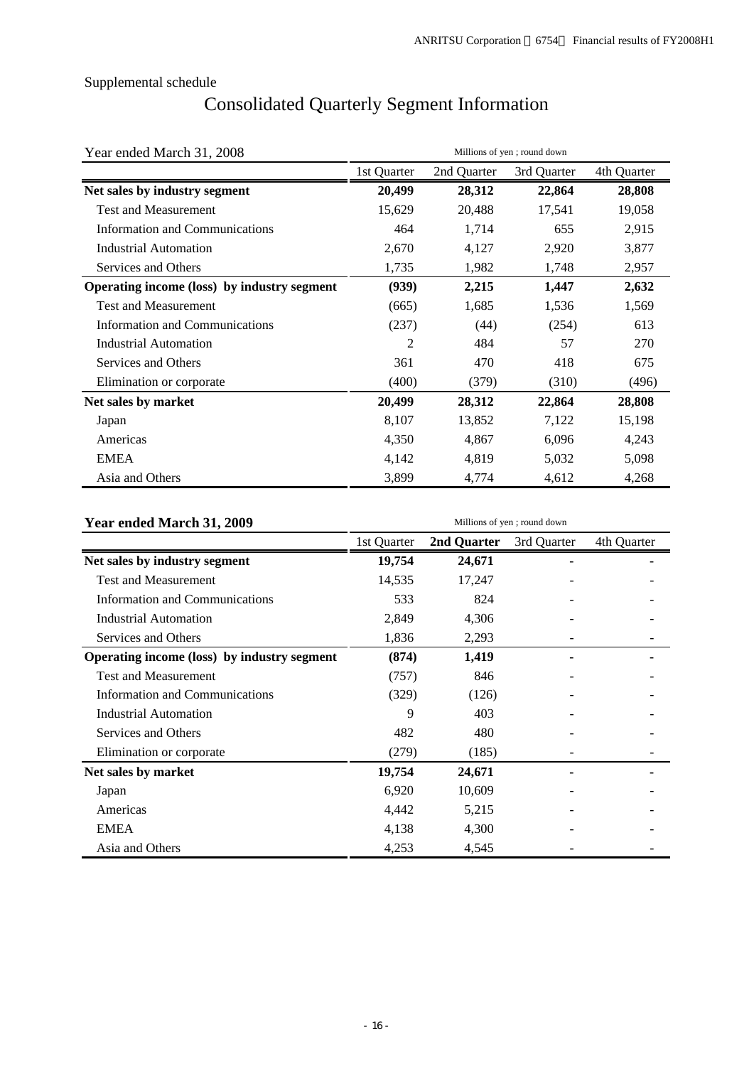# Consolidated Quarterly Segment Information

| Year ended March 31, 2008                   | Millions of yen; round down |             |             |             |  |  |  |
|---------------------------------------------|-----------------------------|-------------|-------------|-------------|--|--|--|
|                                             | 1st Quarter                 | 2nd Quarter | 3rd Quarter | 4th Quarter |  |  |  |
| Net sales by industry segment               | 20,499                      | 28,312      | 22,864      | 28,808      |  |  |  |
| <b>Test and Measurement</b>                 | 15,629                      | 20,488      | 17,541      | 19,058      |  |  |  |
| <b>Information and Communications</b>       | 464                         | 1,714       | 655         | 2,915       |  |  |  |
| <b>Industrial Automation</b>                | 2,670                       | 4,127       | 2,920       | 3,877       |  |  |  |
| Services and Others                         | 1,735                       | 1,982       | 1,748       | 2,957       |  |  |  |
| Operating income (loss) by industry segment | (939)                       | 2,215       | 1,447       | 2,632       |  |  |  |
| <b>Test and Measurement</b>                 | (665)                       | 1,685       | 1,536       | 1,569       |  |  |  |
| Information and Communications              | (237)                       | (44)        | (254)       | 613         |  |  |  |
| Industrial Automation                       | 2                           | 484         | 57          | 270         |  |  |  |
| Services and Others                         | 361                         | 470         | 418         | 675         |  |  |  |
| Elimination or corporate                    | (400)<br>(379)              |             | (310)       | (496)       |  |  |  |
| Net sales by market                         | 20,499                      | 28,312      | 22,864      | 28,808      |  |  |  |
| Japan                                       | 8,107                       | 13,852      | 7,122       | 15,198      |  |  |  |
| Americas                                    | 4,350                       | 4,867       | 6,096       | 4,243       |  |  |  |
| <b>EMEA</b>                                 | 4,142                       | 4,819       | 5,032       | 5,098       |  |  |  |
| Asia and Others                             | 3,899                       | 4,774       | 4,612       | 4,268       |  |  |  |

| Year ended March 31, 2009                   | Millions of yen; round down |             |             |             |  |  |  |
|---------------------------------------------|-----------------------------|-------------|-------------|-------------|--|--|--|
|                                             | 1st Quarter                 | 2nd Quarter | 3rd Quarter | 4th Quarter |  |  |  |
| Net sales by industry segment               | 19,754                      | 24,671      |             |             |  |  |  |
| <b>Test and Measurement</b>                 | 14,535                      | 17,247      |             |             |  |  |  |
| <b>Information and Communications</b>       | 533                         | 824         |             |             |  |  |  |
| <b>Industrial Automation</b>                | 2,849                       | 4,306       |             |             |  |  |  |
| Services and Others                         | 1,836                       | 2,293       |             |             |  |  |  |
| Operating income (loss) by industry segment | (874)                       | 1,419       |             |             |  |  |  |
| <b>Test and Measurement</b>                 | (757)                       | 846         |             |             |  |  |  |
| Information and Communications              | (329)                       | (126)       |             |             |  |  |  |
| <b>Industrial Automation</b>                | 9                           | 403         |             |             |  |  |  |
| Services and Others                         | 482                         | 480         |             |             |  |  |  |
| Elimination or corporate                    | (279)                       | (185)       |             |             |  |  |  |
| Net sales by market                         | 19,754                      | 24,671      |             |             |  |  |  |
| Japan                                       | 6,920                       | 10,609      |             |             |  |  |  |
| Americas                                    | 4,442                       | 5,215       |             |             |  |  |  |
| <b>EMEA</b>                                 | 4,138                       | 4,300       |             |             |  |  |  |
| Asia and Others                             | 4,253                       | 4,545       |             |             |  |  |  |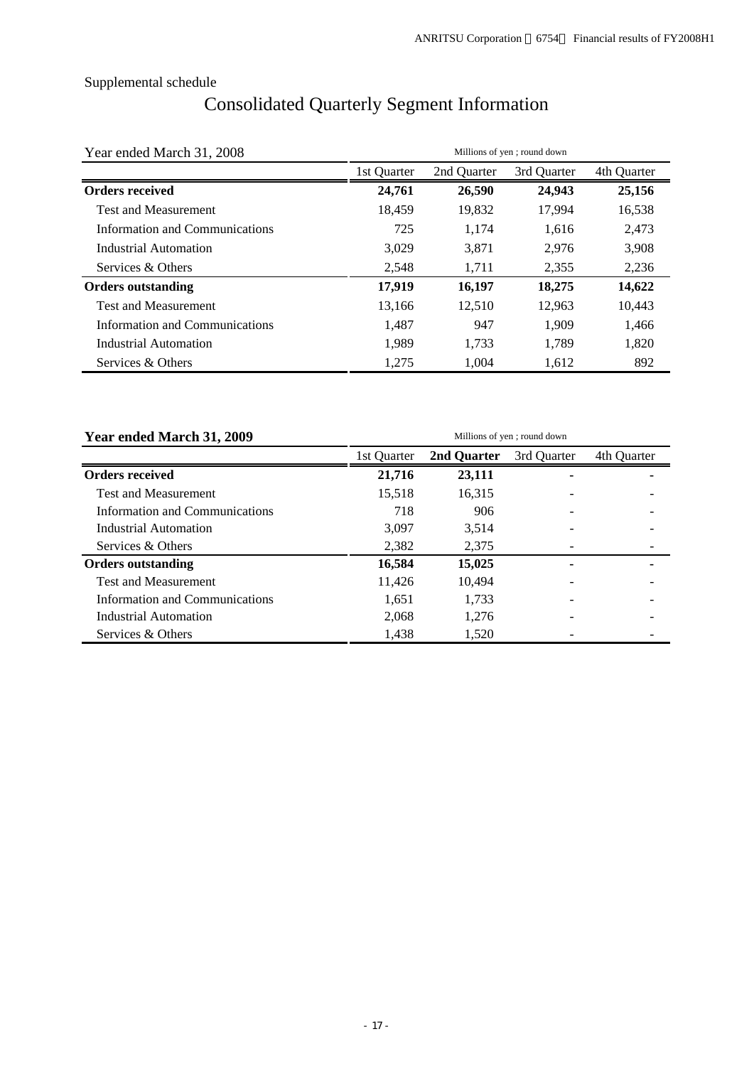# Consolidated Quarterly Segment Information

| Year ended March 31, 2008      | Millions of yen; round down<br>4th Quarter<br>1st Quarter<br>2nd Quarter<br>3rd Quarter<br>25,156<br>26,590<br>24,943<br>24,761<br>17,994<br>18,459<br>19,832<br>16,538<br>725<br>2.473<br>1.174<br>1.616<br>3,029<br>3,871<br>2,976<br>3,908<br>1,711<br>2,355<br>2,236<br>2,548<br>17,919<br>16,197<br>14,622<br>18,275<br>12,510<br>10,443<br>12,963<br>13,166 |       |       |       |
|--------------------------------|-------------------------------------------------------------------------------------------------------------------------------------------------------------------------------------------------------------------------------------------------------------------------------------------------------------------------------------------------------------------|-------|-------|-------|
|                                |                                                                                                                                                                                                                                                                                                                                                                   |       |       |       |
| <b>Orders received</b>         |                                                                                                                                                                                                                                                                                                                                                                   |       |       |       |
| <b>Test and Measurement</b>    |                                                                                                                                                                                                                                                                                                                                                                   |       |       |       |
| Information and Communications |                                                                                                                                                                                                                                                                                                                                                                   |       |       |       |
| Industrial Automation          |                                                                                                                                                                                                                                                                                                                                                                   |       |       |       |
| Services & Others              |                                                                                                                                                                                                                                                                                                                                                                   |       |       |       |
| <b>Orders outstanding</b>      |                                                                                                                                                                                                                                                                                                                                                                   |       |       |       |
| <b>Test and Measurement</b>    |                                                                                                                                                                                                                                                                                                                                                                   |       |       |       |
| Information and Communications | 1,487                                                                                                                                                                                                                                                                                                                                                             | 947   | 1,909 | 1,466 |
| Industrial Automation          | 1.989                                                                                                                                                                                                                                                                                                                                                             | 1.733 | 1.789 | 1,820 |
| Services & Others              | 1,275                                                                                                                                                                                                                                                                                                                                                             | 1,004 | 1,612 | 892   |

| Year ended March 31, 2009      |             | Millions of yen; round down |             |             |  |  |  |  |
|--------------------------------|-------------|-----------------------------|-------------|-------------|--|--|--|--|
|                                | 1st Ouarter | 2nd Quarter                 | 3rd Quarter | 4th Quarter |  |  |  |  |
| <b>Orders received</b>         | 21,716      | 23,111                      |             |             |  |  |  |  |
| <b>Test and Measurement</b>    | 15,518      | 16,315                      |             |             |  |  |  |  |
| Information and Communications | 718         | 906                         |             |             |  |  |  |  |
| Industrial Automation          | 3.097       | 3.514                       |             |             |  |  |  |  |
| Services & Others              | 2,382       | 2,375                       |             |             |  |  |  |  |
| <b>Orders outstanding</b>      | 16,584      | 15,025                      |             |             |  |  |  |  |
| <b>Test and Measurement</b>    | 11,426      | 10,494                      |             |             |  |  |  |  |
| Information and Communications | 1,651       | 1.733                       |             |             |  |  |  |  |
| Industrial Automation          | 2,068       | 1,276                       |             |             |  |  |  |  |
| Services & Others              | 1,438       | 1,520                       |             |             |  |  |  |  |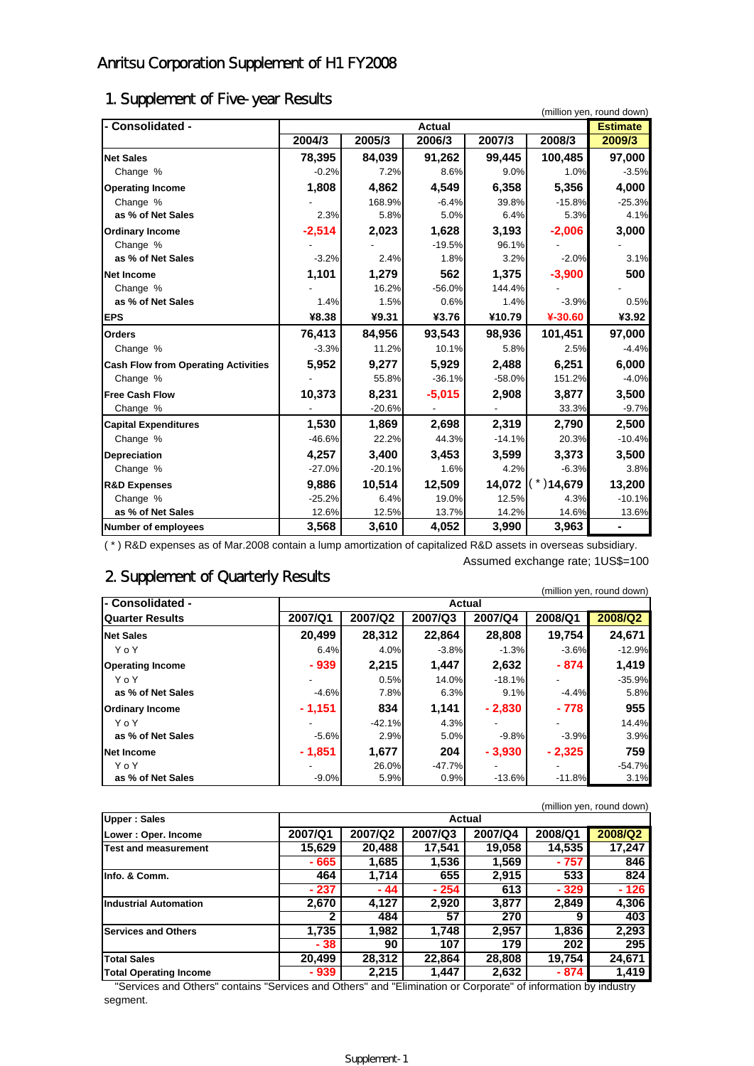# Anritsu Corporation Supplement of H1 FY2008

# 1. Supplement of Five-year Results

| - Consolidated -                           | (million yen, round down)<br><b>Estimate</b><br><b>Actual</b> |          |          |          |              |          |  |
|--------------------------------------------|---------------------------------------------------------------|----------|----------|----------|--------------|----------|--|
|                                            | 2004/3                                                        | 2005/3   | 2006/3   | 2007/3   | 2008/3       | 2009/3   |  |
|                                            |                                                               |          |          |          |              |          |  |
| <b>Net Sales</b>                           | 78,395                                                        | 84,039   | 91,262   | 99,445   | 100,485      | 97,000   |  |
| Change %                                   | $-0.2%$                                                       | 7.2%     | 8.6%     | 9.0%     | 1.0%         | $-3.5%$  |  |
| <b>Operating Income</b>                    | 1,808                                                         | 4,862    | 4,549    | 6,358    | 5,356        | 4,000    |  |
| Change %                                   |                                                               | 168.9%   | $-6.4%$  | 39.8%    | $-15.8%$     | $-25.3%$ |  |
| as % of Net Sales                          | 2.3%                                                          | 5.8%     | 5.0%     | 6.4%     | 5.3%         | 4.1%     |  |
| <b>Ordinary Income</b>                     | $-2,514$                                                      | 2,023    | 1,628    | 3,193    | $-2,006$     | 3,000    |  |
| Change %                                   |                                                               |          | $-19.5%$ | 96.1%    |              |          |  |
| as % of Net Sales                          | $-3.2%$                                                       | 2.4%     | 1.8%     | 3.2%     | $-2.0%$      | 3.1%     |  |
| <b>Net Income</b>                          | 1,101                                                         | 1,279    | 562      | 1,375    | $-3,900$     | 500      |  |
| Change %                                   |                                                               | 16.2%    | $-56.0%$ | 144.4%   |              |          |  |
| as % of Net Sales                          | 1.4%                                                          | 1.5%     | 0.6%     | 1.4%     | $-3.9%$      | 0.5%     |  |
| <b>EPS</b>                                 | ¥8.38                                                         | ¥9.31    | ¥3.76    | ¥10.79   | ¥-30.60      | ¥3.92    |  |
| <b>Orders</b>                              | 76,413                                                        | 84,956   | 93,543   | 98,936   | 101,451      | 97,000   |  |
| Change %                                   | $-3.3%$                                                       | 11.2%    | 10.1%    | 5.8%     | 2.5%         | $-4.4%$  |  |
| <b>Cash Flow from Operating Activities</b> | 5,952                                                         | 9,277    | 5,929    | 2,488    | 6,251        | 6,000    |  |
| Change %                                   |                                                               | 55.8%    | $-36.1%$ | $-58.0%$ | 151.2%       | $-4.0%$  |  |
| <b>Free Cash Flow</b>                      | 10,373                                                        | 8,231    | $-5,015$ | 2,908    | 3,877        | 3,500    |  |
| Change %                                   |                                                               | $-20.6%$ |          |          | 33.3%        | $-9.7%$  |  |
| <b>Capital Expenditures</b>                | 1,530                                                         | 1,869    | 2,698    | 2,319    | 2,790        | 2,500    |  |
| Change %                                   | $-46.6%$                                                      | 22.2%    | 44.3%    | $-14.1%$ | 20.3%        | $-10.4%$ |  |
| <b>Depreciation</b>                        | 4,257                                                         | 3,400    | 3,453    | 3,599    | 3,373        | 3,500    |  |
| Change %                                   | $-27.0%$                                                      | $-20.1%$ | 1.6%     | 4.2%     | $-6.3%$      | 3.8%     |  |
| <b>R&amp;D Expenses</b>                    | 9,886                                                         | 10,514   | 12,509   | 14,072   | $(*)$ 14,679 | 13,200   |  |
| Change %                                   | $-25.2%$                                                      | 6.4%     | 19.0%    | 12.5%    | 4.3%         | $-10.1%$ |  |
| as % of Net Sales                          | 12.6%                                                         | 12.5%    | 13.7%    | 14.2%    | 14.6%        | 13.6%    |  |
| <b>Number of employees</b>                 | 3,568                                                         | 3,610    | 4,052    | 3,990    | 3,963        | ۰        |  |

( \* ) R&D expenses as of Mar.2008 contain a lump amortization of capitalized R&D assets in overseas subsidiary.

# 2. Supplement of Quarterly Results

Assumed exchange rate; 1US\$=100

|                         |                          |               |         |          |         | (million yen, round down) |  |  |
|-------------------------|--------------------------|---------------|---------|----------|---------|---------------------------|--|--|
| l- Consolidated -       |                          | <b>Actual</b> |         |          |         |                           |  |  |
| <b>Quarter Results</b>  | 2007/Q1                  | 2007/Q2       | 2007/Q3 | 2007/Q4  | 2008/Q1 | 2008/Q2                   |  |  |
| <b>Net Sales</b>        | 20,499                   | 28,312        | 22.864  | 28,808   | 19.754  | 24,671                    |  |  |
| YoY                     | 6.4%                     | 4.0%          | $-3.8%$ | $-1.3%$  | $-3.6%$ | $-12.9%$                  |  |  |
| <b>Operating Income</b> | $-939$                   | 2,215         | 1.447   | 2,632    | $-874$  | 1,419                     |  |  |
| YoY                     | $\overline{\phantom{0}}$ | 0.5%          | 14.0%   | $-18.1%$ |         | $-35.9%$                  |  |  |
| as % of Net Sales       | $-4.6%$                  | 7.8%          | 6.3%    | 9.1%     | $-4.4%$ | 5.8%                      |  |  |
| <b>Ordinary Income</b>  | $-1,151$                 | 834           | 1,141   | $-2,830$ | $-778$  | 955                       |  |  |
| YoY                     |                          | $-42.1%$      | 4.3%    |          |         | 14.4%                     |  |  |

**as % of Net Sales -**5.6% 2.9% 5.0% -9.8% -3.9% 3.9% **Net Income - 1,851 1,677 204 - 3,930 - 2,325 759**  Y o Y - 26.0% -47.7% - - -54.7% **as % of Net Sales as**  $\begin{bmatrix} 1 & 0 & 0 \\ 0 & -9.0 & 0 \\ 0 & 0 & 0 \end{bmatrix}$  $\begin{bmatrix} 5.9\% & 0.9\% \\ 0.9\% & -13.6\% \end{bmatrix}$  $\begin{bmatrix} -11.8\% \\ -11.8\% \end{bmatrix}$  **3.1%** 

(million yen, round down)

| <b>Upper: Sales</b>           |         |         | <b>Actual</b> |         |         |         |
|-------------------------------|---------|---------|---------------|---------|---------|---------|
| Lower: Oper. Income           | 2007/Q1 | 2007/Q2 | 2007/Q3       | 2007/Q4 | 2008/Q1 | 2008/Q2 |
| Test and measurement          | 15,629  | 20,488  | 17.541        | 19,058  | 14,535  | 17,247  |
|                               | - 665   | 1,685   | 1,536         | 1,569   | - 757   | 846     |
| Info. & Comm.                 | 464     | 1,714   | 655           | 2,915   | 533     | 824     |
|                               | $-237$  | - 44    | $-254$        | 613     | - 329   | - 126   |
| <b>Industrial Automation</b>  | 2,670   | 4.127   | 2.920         | 3,877   | 2.849   | 4,306   |
|                               | 2       | 484     | 57            | 270     | 9       | 403     |
| <b>Services and Others</b>    | 1.735   | 1.982   | 1.748         | 2.957   | 1,836   | 2,293   |
|                               | - 38    | 90      | 107           | 179     | 202     | 295     |
| <b>Total Sales</b>            | 20,499  | 28,312  | 22,864        | 28,808  | 19.754  | 24,671  |
| <b>Total Operating Income</b> | - 939   | 2,215   | 1,447         | 2,632   | - 874   | 1,419   |

"Services and Others" contains "Services and Others" and "Elimination or Corporate" of information by industry segment.